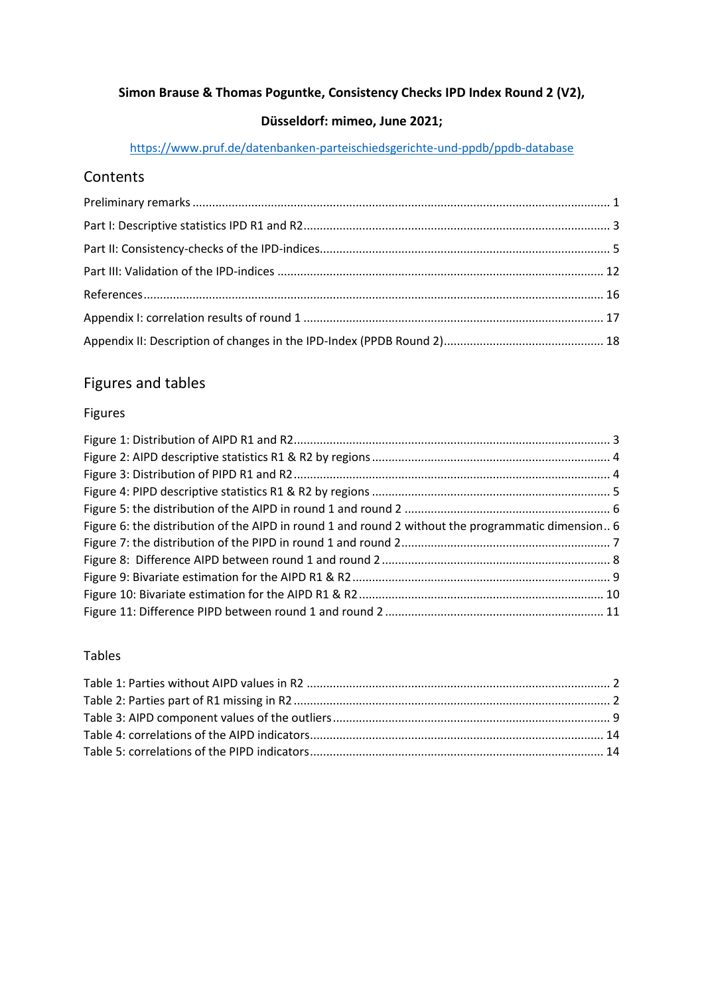## **Simon Brause & Thomas Poguntke, Consistency Checks IPD Index Round 2 (V2),**

## **Düsseldorf: mimeo, June 2021;**

## <https://www.pruf.de/datenbanken-parteischiedsgerichte-und-ppdb/ppdb-database>

# Contents

# Figures and tables

## Figures

| Figure 6: the distribution of the AIPD in round 1 and round 2 without the programmatic dimension 6 |  |
|----------------------------------------------------------------------------------------------------|--|
|                                                                                                    |  |
|                                                                                                    |  |
|                                                                                                    |  |
|                                                                                                    |  |
|                                                                                                    |  |

## Tables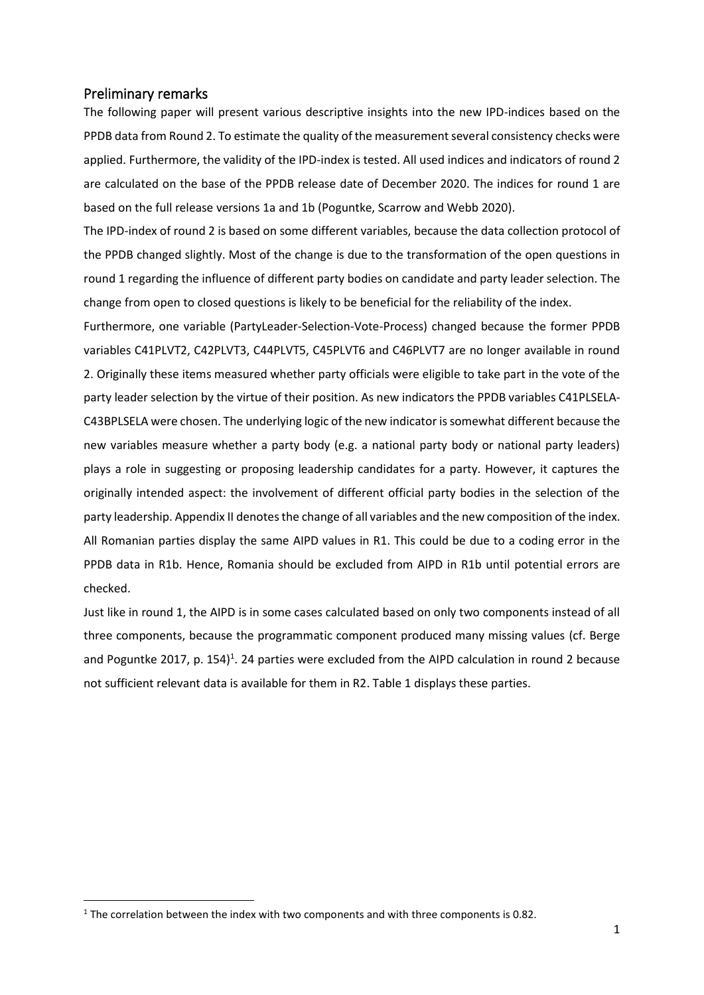### <span id="page-1-0"></span>Preliminary remarks

The following paper will present various descriptive insights into the new IPD-indices based on the PPDB data from Round 2. To estimate the quality of the measurement several consistency checks were applied. Furthermore, the validity of the IPD-index is tested. All used indices and indicators of round 2 are calculated on the base of the PPDB release date of December 2020. The indices for round 1 are based on the full release versions 1a and 1b (Poguntke, Scarrow and Webb 2020).

The IPD-index of round 2 is based on some different variables, because the data collection protocol of the PPDB changed slightly. Most of the change is due to the transformation of the open questions in round 1 regarding the influence of different party bodies on candidate and party leader selection. The change from open to closed questions is likely to be beneficial for the reliability of the index.

Furthermore, one variable (PartyLeader-Selection-Vote-Process) changed because the former PPDB variables C41PLVT2, C42PLVT3, C44PLVT5, C45PLVT6 and C46PLVT7 are no longer available in round 2. Originally these items measured whether party officials were eligible to take part in the vote of the party leader selection by the virtue of their position. As new indicators the PPDB variables C41PLSELA-C43BPLSELA were chosen. The underlying logic of the new indicator is somewhat different because the new variables measure whether a party body (e.g. a national party body or national party leaders) plays a role in suggesting or proposing leadership candidates for a party. However, it captures the originally intended aspect: the involvement of different official party bodies in the selection of the party leadership. Appendix II denotes the change of all variables and the new composition of the index. All Romanian parties display the same AIPD values in R1. This could be due to a coding error in the PPDB data in R1b. Hence, Romania should be excluded from AIPD in R1b until potential errors are checked.

Just like in round 1, the AIPD is in some cases calculated based on only two components instead of all three components, because the programmatic component produced many missing values (cf. Berge and Poguntke 2017, p. 154)<sup>1</sup>. 24 parties were excluded from the AIPD calculation in round 2 because not sufficient relevant data is available for them in R2. Table 1 displays these parties.

 $1$  The correlation between the index with two components and with three components is 0.82.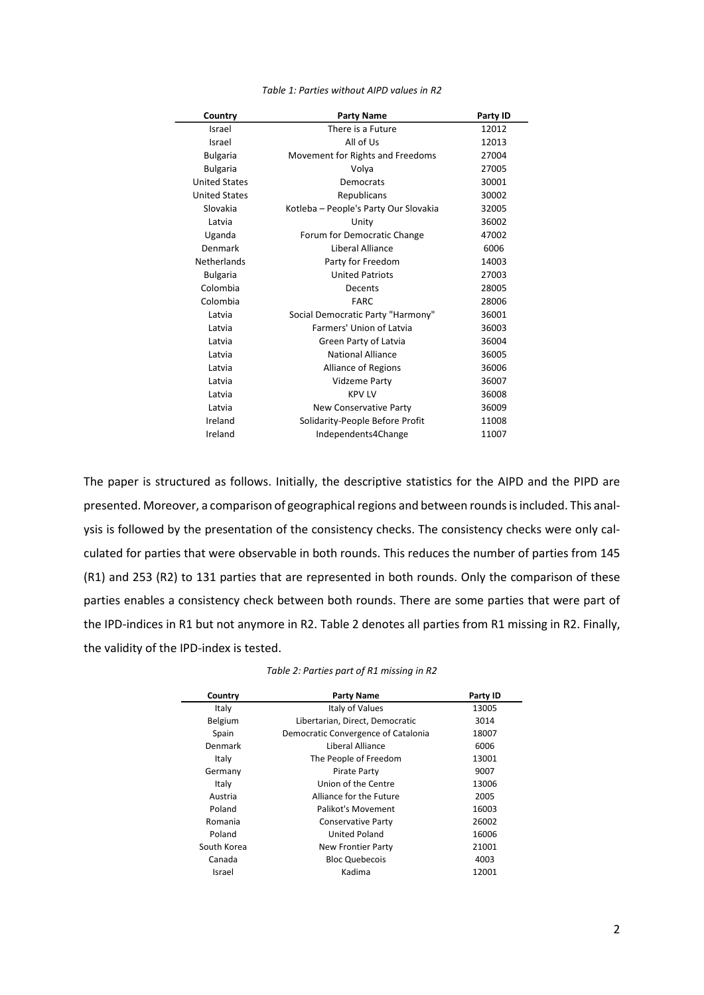<span id="page-2-0"></span>

| Country              | <b>Party Name</b>                     | Party ID |
|----------------------|---------------------------------------|----------|
| Israel               | There is a Future                     | 12012    |
| Israel               | All of Us                             | 12013    |
| <b>Bulgaria</b>      | Movement for Rights and Freedoms      | 27004    |
| <b>Bulgaria</b>      | Volya                                 | 27005    |
| <b>United States</b> | Democrats                             | 30001    |
| <b>United States</b> | Republicans                           | 30002    |
| Slovakia             | Kotleba - People's Party Our Slovakia | 32005    |
| Latvia               | Unity                                 | 36002    |
| Uganda               | Forum for Democratic Change           | 47002    |
| Denmark              | Liberal Alliance                      | 6006     |
| Netherlands          | Party for Freedom                     | 14003    |
| <b>Bulgaria</b>      | <b>United Patriots</b>                | 27003    |
| Colombia             | Decents                               | 28005    |
| Colombia             | <b>FARC</b>                           | 28006    |
| Latvia               | Social Democratic Party "Harmony"     | 36001    |
| Latvia               | Farmers' Union of Latvia              | 36003    |
| Latvia               | Green Party of Latvia                 | 36004    |
| Latvia               | National Alliance                     | 36005    |
| Latvia               | <b>Alliance of Regions</b>            | 36006    |
| Latvia               | Vidzeme Party                         | 36007    |
| Latvia               | <b>KPV LV</b>                         | 36008    |
| Latvia               | <b>New Conservative Party</b>         | 36009    |
| Ireland              | Solidarity-People Before Profit       | 11008    |
| Ireland              | Independents4Change                   | 11007    |

*Table 1: Parties without AIPD values in R2*

The paper is structured as follows. Initially, the descriptive statistics for the AIPD and the PIPD are presented. Moreover, a comparison of geographical regions and between rounds is included. This analysis is followed by the presentation of the consistency checks. The consistency checks were only calculated for parties that were observable in both rounds. This reduces the number of parties from 145 (R1) and 253 (R2) to 131 parties that are represented in both rounds. Only the comparison of these parties enables a consistency check between both rounds. There are some parties that were part of the IPD-indices in R1 but not anymore in R2. Table 2 denotes all parties from R1 missing in R2. Finally, the validity of the IPD-index is tested.

<span id="page-2-1"></span>

| Country     | <b>Party Name</b>                   | Party ID |
|-------------|-------------------------------------|----------|
| Italy       | Italy of Values                     | 13005    |
| Belgium     | Libertarian, Direct, Democratic     | 3014     |
| Spain       | Democratic Convergence of Catalonia | 18007    |
| Denmark     | Liberal Alliance                    | 6006     |
| Italy       | The People of Freedom               | 13001    |
| Germany     | Pirate Party                        | 9007     |
| Italy       | Union of the Centre                 | 13006    |
| Austria     | Alliance for the Future             | 2005     |
| Poland      | Palikot's Movement                  | 16003    |
| Romania     | <b>Conservative Party</b>           | 26002    |
| Poland      | <b>United Poland</b>                | 16006    |
| South Korea | <b>New Frontier Party</b>           | 21001    |
| Canada      | <b>Bloc Quebecois</b>               | 4003     |
| Israel      | Kadima                              | 12001    |

*Table 2: Parties part of R1 missing in R2*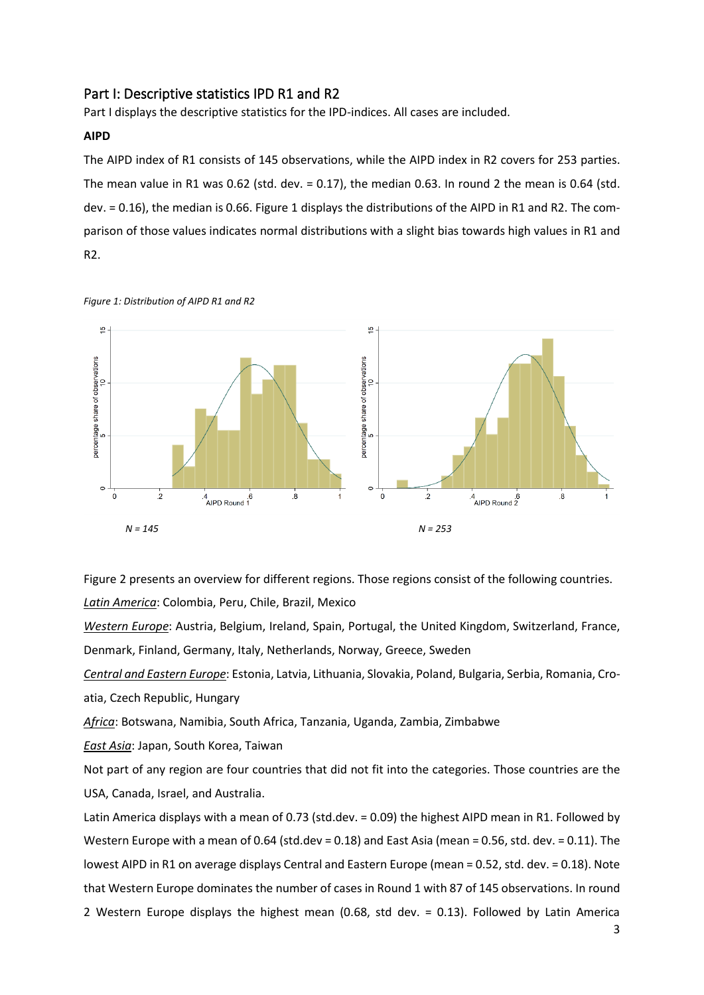## <span id="page-3-0"></span>Part I: Descriptive statistics IPD R1 and R2

Part I displays the descriptive statistics for the IPD-indices. All cases are included.

#### **AIPD**

The AIPD index of R1 consists of 145 observations, while the AIPD index in R2 covers for 253 parties. The mean value in R1 was 0.62 (std. dev. = 0.17), the median 0.63. In round 2 the mean is 0.64 (std. dev. = 0.16), the median is 0.66. Figure 1 displays the distributions of the AIPD in R1 and R2. The comparison of those values indicates normal distributions with a slight bias towards high values in R1 and R2.



<span id="page-3-1"></span>*Figure 1: Distribution of AIPD R1 and R2*

Figure 2 presents an overview for different regions. Those regions consist of the following countries. *Latin America*: Colombia, Peru, Chile, Brazil, Mexico

*Western Europe*: Austria, Belgium, Ireland, Spain, Portugal, the United Kingdom, Switzerland, France,

Denmark, Finland, Germany, Italy, Netherlands, Norway, Greece, Sweden

*Central and Eastern Europe*: Estonia, Latvia, Lithuania, Slovakia, Poland, Bulgaria, Serbia, Romania, Croatia, Czech Republic, Hungary

*Africa*: Botswana, Namibia, South Africa, Tanzania, Uganda, Zambia, Zimbabwe

*East Asia*: Japan, South Korea, Taiwan

Not part of any region are four countries that did not fit into the categories. Those countries are the USA, Canada, Israel, and Australia.

Latin America displays with a mean of 0.73 (std.dev. = 0.09) the highest AIPD mean in R1. Followed by Western Europe with a mean of 0.64 (std.dev = 0.18) and East Asia (mean = 0.56, std. dev. = 0.11). The lowest AIPD in R1 on average displays Central and Eastern Europe (mean = 0.52, std. dev. = 0.18). Note that Western Europe dominates the number of cases in Round 1 with 87 of 145 observations. In round 2 Western Europe displays the highest mean (0.68, std dev. = 0.13). Followed by Latin America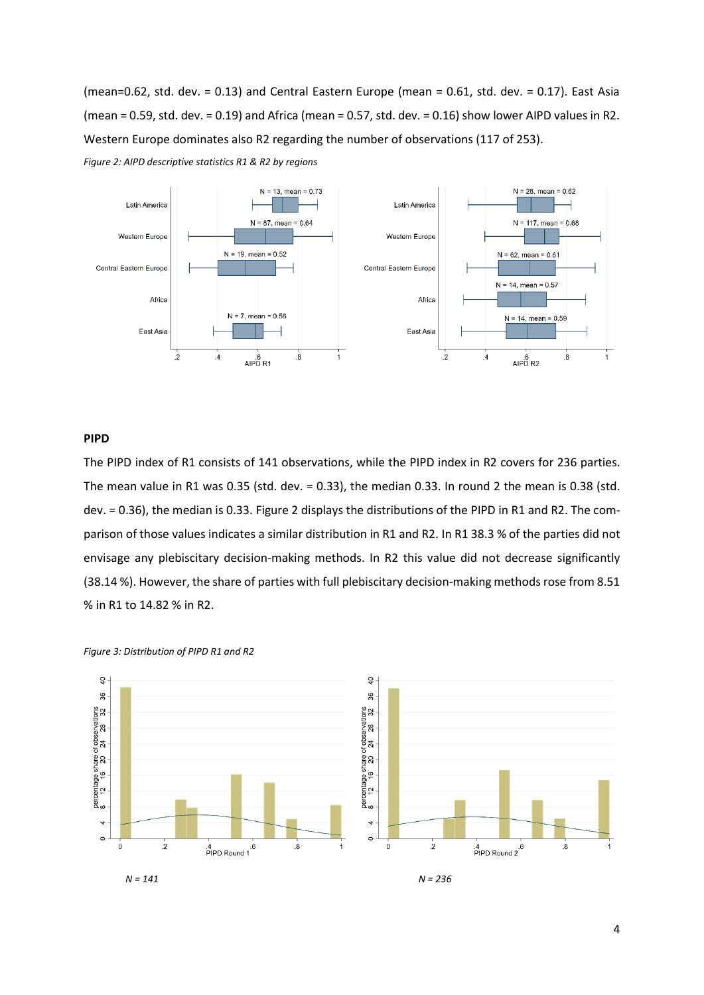(mean=0.62, std. dev. = 0.13) and Central Eastern Europe (mean = 0.61, std. dev. = 0.17). East Asia (mean = 0.59, std. dev. = 0.19) and Africa (mean = 0.57, std. dev. = 0.16) show lower AIPD values in R2. Western Europe dominates also R2 regarding the number of observations (117 of 253).

<span id="page-4-0"></span>



#### **PIPD**

The PIPD index of R1 consists of 141 observations, while the PIPD index in R2 covers for 236 parties. The mean value in R1 was 0.35 (std. dev. = 0.33), the median 0.33. In round 2 the mean is 0.38 (std. dev. = 0.36), the median is 0.33. Figure 2 displays the distributions of the PIPD in R1 and R2. The comparison of those values indicates a similar distribution in R1 and R2. In R1 38.3 % of the parties did not envisage any plebiscitary decision-making methods. In R2 this value did not decrease significantly (38.14 %). However, the share of parties with full plebiscitary decision-making methods rose from 8.51 % in R1 to 14.82 % in R2.

<span id="page-4-1"></span>



*N = 141 N = 236*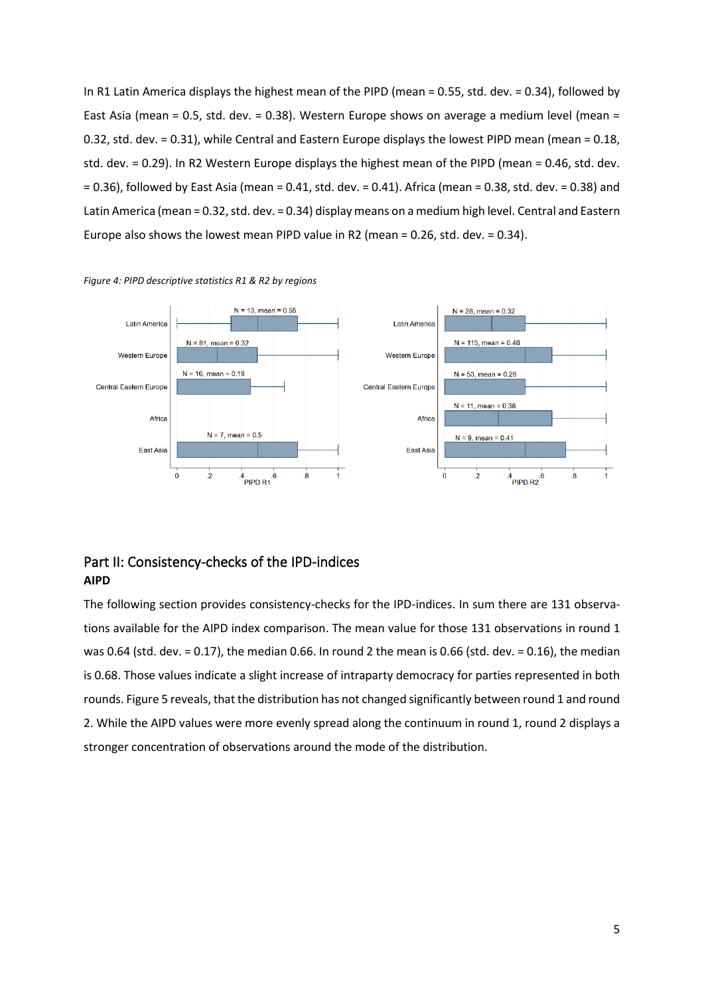In R1 Latin America displays the highest mean of the PIPD (mean = 0.55, std. dev. = 0.34), followed by East Asia (mean = 0.5, std. dev. = 0.38). Western Europe shows on average a medium level (mean = 0.32, std. dev. = 0.31), while Central and Eastern Europe displays the lowest PIPD mean (mean = 0.18, std. dev. = 0.29). In R2 Western Europe displays the highest mean of the PIPD (mean = 0.46, std. dev. = 0.36), followed by East Asia (mean = 0.41, std. dev. = 0.41). Africa (mean = 0.38, std. dev. = 0.38) and Latin America (mean = 0.32, std. dev. = 0.34) display means on a medium high level. Central and Eastern Europe also shows the lowest mean PIPD value in R2 (mean = 0.26, std. dev. = 0.34).



<span id="page-5-1"></span>

## <span id="page-5-0"></span>Part II: Consistency-checks of the IPD-indices **AIPD**

The following section provides consistency-checks for the IPD-indices. In sum there are 131 observations available for the AIPD index comparison. The mean value for those 131 observations in round 1 was 0.64 (std. dev. = 0.17), the median 0.66. In round 2 the mean is 0.66 (std. dev. = 0.16), the median is 0.68. Those values indicate a slight increase of intraparty democracy for parties represented in both rounds. Figure 5 reveals, that the distribution has not changed significantly between round 1 and round 2. While the AIPD values were more evenly spread along the continuum in round 1, round 2 displays a stronger concentration of observations around the mode of the distribution.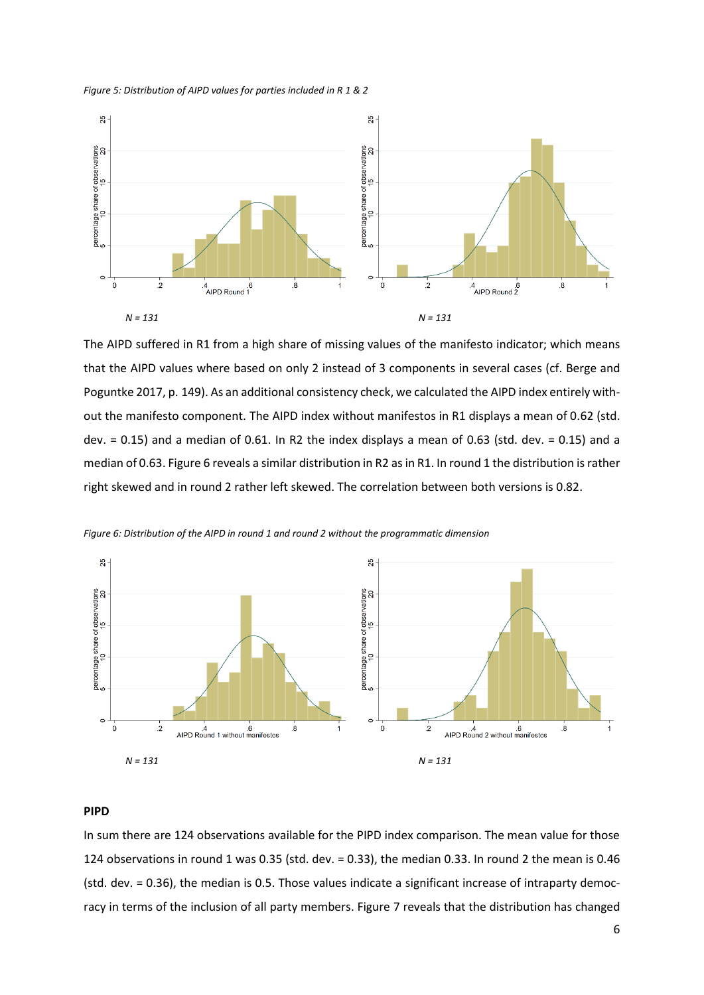<span id="page-6-0"></span>*Figure 5: Distribution of AIPD values for parties included in R 1 & 2* 



The AIPD suffered in R1 from a high share of missing values of the manifesto indicator; which means that the AIPD values where based on only 2 instead of 3 components in several cases (cf. Berge and Poguntke 2017, p. 149). As an additional consistency check, we calculated the AIPD index entirely without the manifesto component. The AIPD index without manifestos in R1 displays a mean of 0.62 (std. dev.  $= 0.15$ ) and a median of 0.61. In R2 the index displays a mean of 0.63 (std. dev.  $= 0.15$ ) and a median of 0.63. Figure 6 reveals a similar distribution in R2 as in R1. In round 1 the distribution is rather right skewed and in round 2 rather left skewed. The correlation between both versions is 0.82.



<span id="page-6-1"></span>*Figure 6: Distribution of the AIPD in round 1 and round 2 without the programmatic dimension*

#### **PIPD**

In sum there are 124 observations available for the PIPD index comparison. The mean value for those 124 observations in round 1 was 0.35 (std. dev. = 0.33), the median 0.33. In round 2 the mean is 0.46 (std. dev. = 0.36), the median is 0.5. Those values indicate a significant increase of intraparty democracy in terms of the inclusion of all party members. Figure 7 reveals that the distribution has changed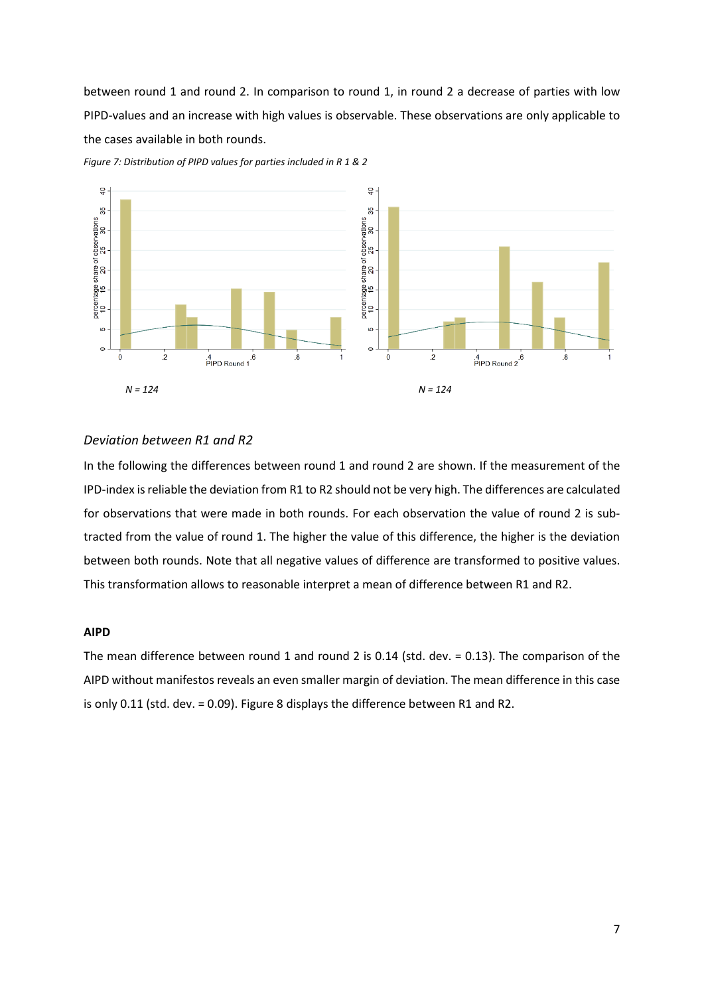between round 1 and round 2. In comparison to round 1, in round 2 a decrease of parties with low PIPD-values and an increase with high values is observable. These observations are only applicable to the cases available in both rounds.



<span id="page-7-0"></span>*Figure 7: Distribution of PIPD values for parties included in R 1 & 2*

#### *Deviation between R1 and R2*

In the following the differences between round 1 and round 2 are shown. If the measurement of the IPD-index is reliable the deviation from R1 to R2 should not be very high. The differences are calculated for observations that were made in both rounds. For each observation the value of round 2 is subtracted from the value of round 1. The higher the value of this difference, the higher is the deviation between both rounds. Note that all negative values of difference are transformed to positive values. This transformation allows to reasonable interpret a mean of difference between R1 and R2.

#### **AIPD**

The mean difference between round 1 and round 2 is 0.14 (std. dev. = 0.13). The comparison of the AIPD without manifestos reveals an even smaller margin of deviation. The mean difference in this case is only 0.11 (std. dev. = 0.09). Figure 8 displays the difference between R1 and R2.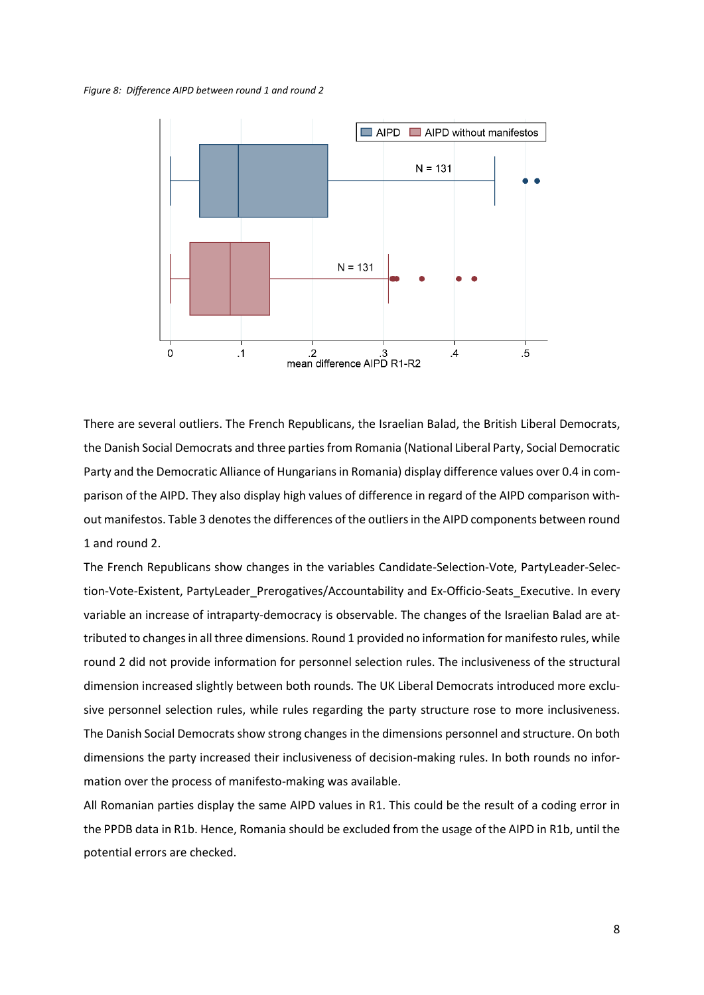<span id="page-8-0"></span>*Figure 8: Difference AIPD between round 1 and round 2*



There are several outliers. The French Republicans, the Israelian Balad, the British Liberal Democrats, the Danish Social Democrats and three parties from Romania (National Liberal Party, Social Democratic Party and the Democratic Alliance of Hungarians in Romania) display difference values over 0.4 in comparison of the AIPD. They also display high values of difference in regard of the AIPD comparison without manifestos. Table 3 denotes the differences of the outliers in the AIPD components between round 1 and round 2.

The French Republicans show changes in the variables Candidate-Selection-Vote, PartyLeader-Selection-Vote-Existent, PartyLeader\_Prerogatives/Accountability and Ex-Officio-Seats\_Executive. In every variable an increase of intraparty-democracy is observable. The changes of the Israelian Balad are attributed to changes in all three dimensions. Round 1 provided no information for manifesto rules, while round 2 did not provide information for personnel selection rules. The inclusiveness of the structural dimension increased slightly between both rounds. The UK Liberal Democrats introduced more exclusive personnel selection rules, while rules regarding the party structure rose to more inclusiveness. The Danish Social Democrats show strong changes in the dimensions personnel and structure. On both dimensions the party increased their inclusiveness of decision-making rules. In both rounds no information over the process of manifesto-making was available.

All Romanian parties display the same AIPD values in R1. This could be the result of a coding error in the PPDB data in R1b. Hence, Romania should be excluded from the usage of the AIPD in R1b, until the potential errors are checked.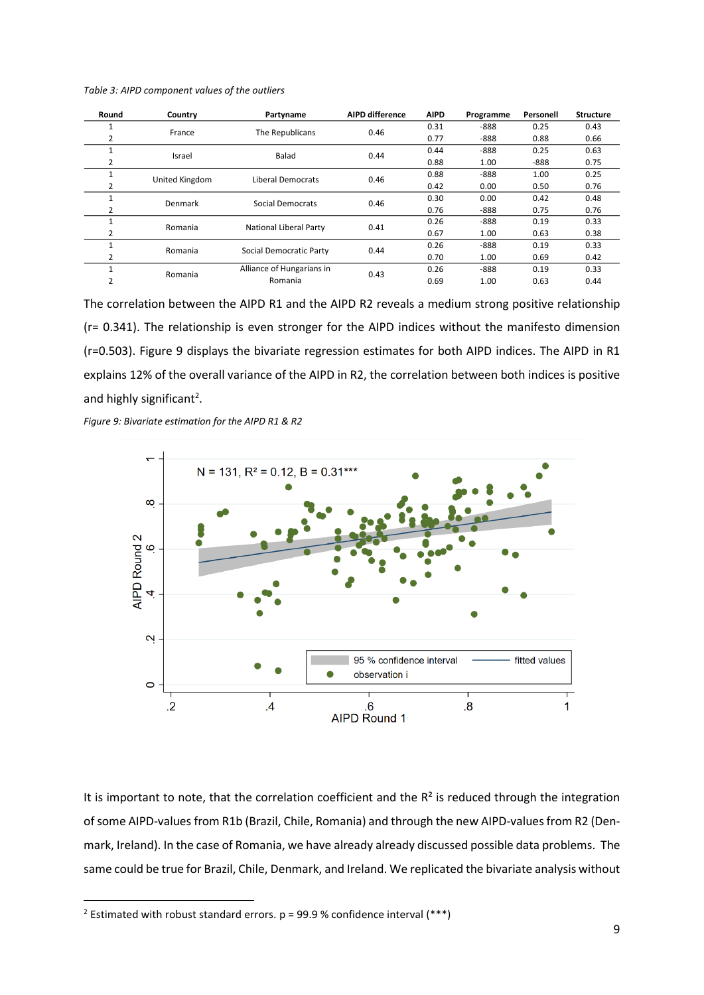<span id="page-9-1"></span>

| Table 3: AIPD component values of the outliers |  |  |  |
|------------------------------------------------|--|--|--|
|------------------------------------------------|--|--|--|

| Round | Country        | Partyname                     | <b>AIPD difference</b> | <b>AIPD</b> | Programme | Personell | <b>Structure</b> |
|-------|----------------|-------------------------------|------------------------|-------------|-----------|-----------|------------------|
|       | France         | The Republicans               | 0.46                   | 0.31        | $-888$    | 0.25      | 0.43             |
|       |                |                               |                        | 0.77        | $-888$    | 0.88      | 0.66             |
|       | Israel         | Balad                         | 0.44                   | 0.44        | $-888$    | 0.25      | 0.63             |
|       |                |                               |                        | 0.88        | 1.00      | $-888$    | 0.75             |
|       | United Kingdom | Liberal Democrats             | 0.46                   | 0.88        | $-888$    | 1.00      | 0.25             |
|       |                |                               |                        | 0.42        | 0.00      | 0.50      | 0.76             |
|       | Denmark        | Social Democrats              | 0.46                   | 0.30        | 0.00      | 0.42      | 0.48             |
|       |                |                               |                        | 0.76        | $-888$    | 0.75      | 0.76             |
|       | Romania        | <b>National Liberal Party</b> | 0.41                   | 0.26        | $-888$    | 0.19      | 0.33             |
|       |                |                               |                        | 0.67        | 1.00      | 0.63      | 0.38             |
|       | Romania        | Social Democratic Party       | 0.44                   | 0.26        | $-888$    | 0.19      | 0.33             |
|       |                |                               |                        | 0.70        | 1.00      | 0.69      | 0.42             |
|       | Romania        | Alliance of Hungarians in     | 0.43                   | 0.26        | $-888$    | 0.19      | 0.33             |
|       |                | Romania                       |                        | 0.69        | 1.00      | 0.63      | 0.44             |

The correlation between the AIPD R1 and the AIPD R2 reveals a medium strong positive relationship (r= 0.341). The relationship is even stronger for the AIPD indices without the manifesto dimension (r=0.503). Figure 9 displays the bivariate regression estimates for both AIPD indices. The AIPD in R1 explains 12% of the overall variance of the AIPD in R2, the correlation between both indices is positive and highly significant<sup>2</sup>.

<span id="page-9-0"></span>*Figure 9: Bivariate estimation for the AIPD R1 & R2*



It is important to note, that the correlation coefficient and the  $R<sup>2</sup>$  is reduced through the integration of some AIPD-values from R1b (Brazil, Chile, Romania) and through the new AIPD-values from R2 (Denmark, Ireland). In the case of Romania, we have already already discussed possible data problems. The same could be true for Brazil, Chile, Denmark, and Ireland. We replicated the bivariate analysis without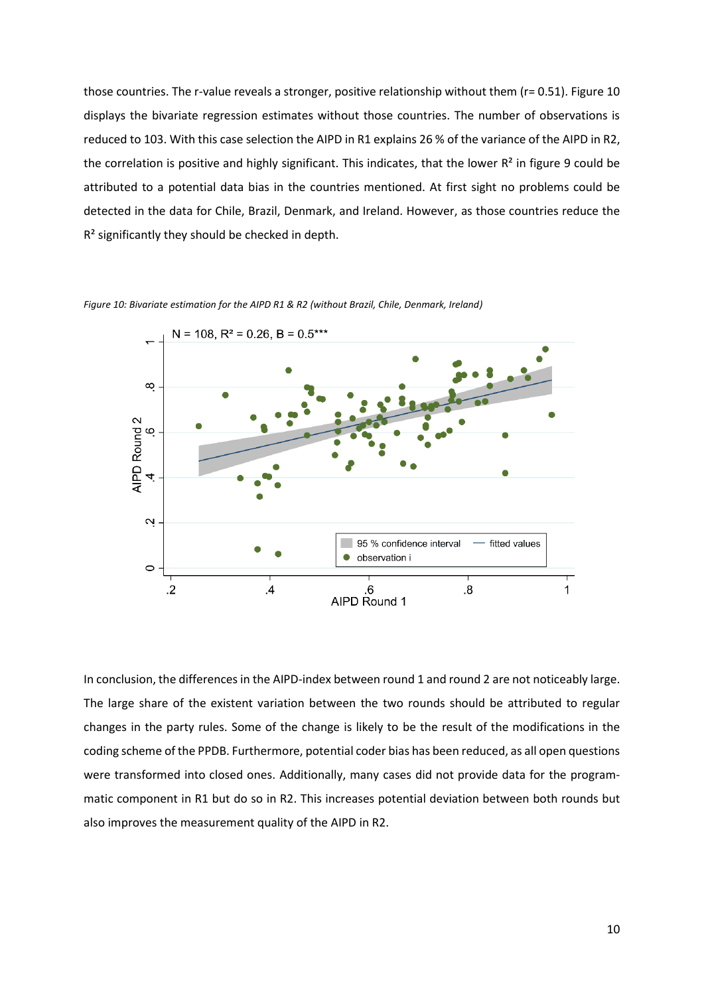those countries. The r-value reveals a stronger, positive relationship without them (r= 0.51). Figure 10 displays the bivariate regression estimates without those countries. The number of observations is reduced to 103. With this case selection the AIPD in R1 explains 26 % of the variance of the AIPD in R2, the correlation is positive and highly significant. This indicates, that the lower  $R^2$  in figure 9 could be attributed to a potential data bias in the countries mentioned. At first sight no problems could be detected in the data for Chile, Brazil, Denmark, and Ireland. However, as those countries reduce the R² significantly they should be checked in depth.



<span id="page-10-0"></span>*Figure 10: Bivariate estimation for the AIPD R1 & R2 (without Brazil, Chile, Denmark, Ireland)*

In conclusion, the differences in the AIPD-index between round 1 and round 2 are not noticeably large. The large share of the existent variation between the two rounds should be attributed to regular changes in the party rules. Some of the change is likely to be the result of the modifications in the coding scheme of the PPDB. Furthermore, potential coder bias has been reduced, as all open questions were transformed into closed ones. Additionally, many cases did not provide data for the programmatic component in R1 but do so in R2. This increases potential deviation between both rounds but also improves the measurement quality of the AIPD in R2.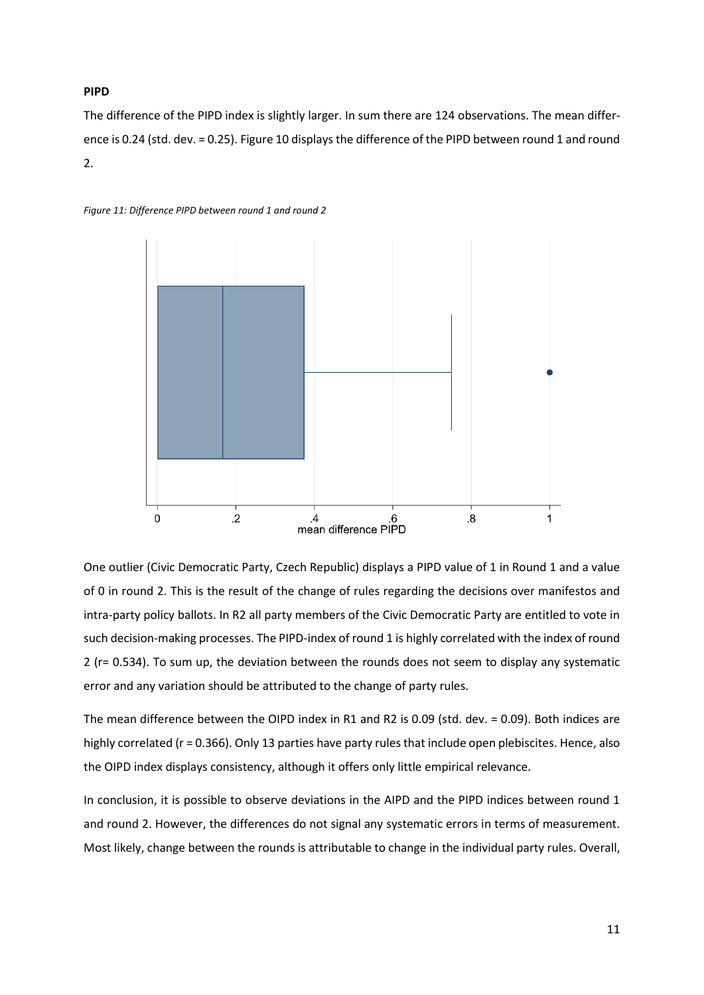#### **PIPD**

The difference of the PIPD index is slightly larger. In sum there are 124 observations. The mean difference is 0.24 (std. dev. = 0.25). Figure 10 displays the difference of the PIPD between round 1 and round 2.



<span id="page-11-0"></span>*Figure 11: Difference PIPD between round 1 and round 2*

One outlier (Civic Democratic Party, Czech Republic) displays a PIPD value of 1 in Round 1 and a value of 0 in round 2. This is the result of the change of rules regarding the decisions over manifestos and intra-party policy ballots. In R2 all party members of the Civic Democratic Party are entitled to vote in such decision-making processes. The PIPD-index of round 1 is highly correlated with the index of round 2 (r= 0.534). To sum up, the deviation between the rounds does not seem to display any systematic error and any variation should be attributed to the change of party rules.

The mean difference between the OIPD index in R1 and R2 is 0.09 (std. dev. = 0.09). Both indices are highly correlated (r = 0.366). Only 13 parties have party rules that include open plebiscites. Hence, also the OIPD index displays consistency, although it offers only little empirical relevance.

In conclusion, it is possible to observe deviations in the AIPD and the PIPD indices between round 1 and round 2. However, the differences do not signal any systematic errors in terms of measurement. Most likely, change between the rounds is attributable to change in the individual party rules. Overall,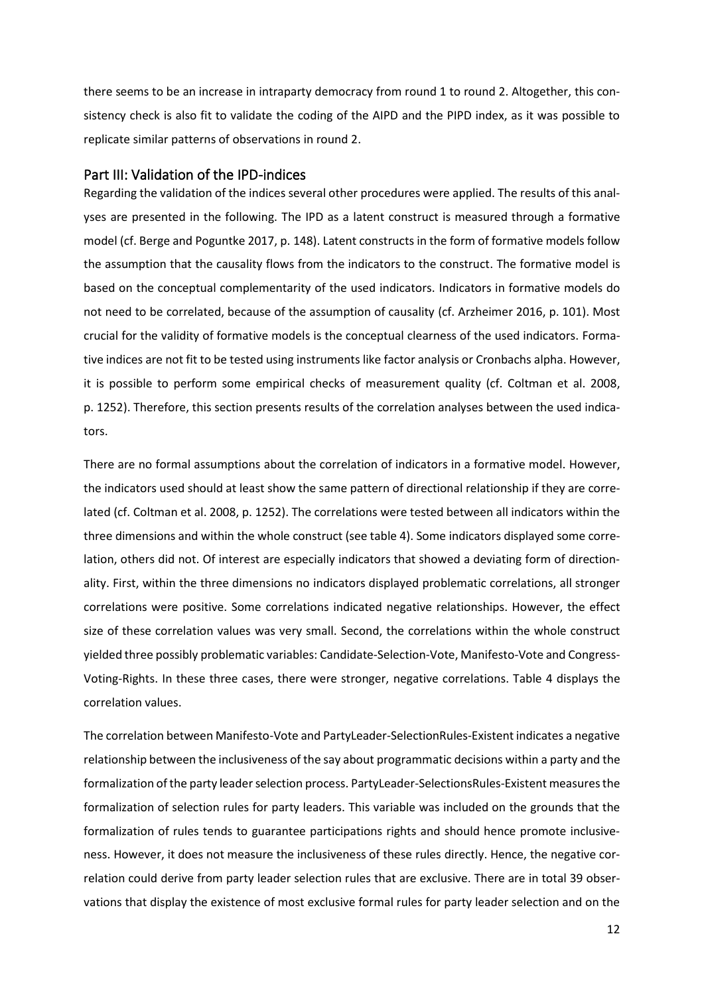there seems to be an increase in intraparty democracy from round 1 to round 2. Altogether, this consistency check is also fit to validate the coding of the AIPD and the PIPD index, as it was possible to replicate similar patterns of observations in round 2.

## <span id="page-12-0"></span>Part III: Validation of the IPD-indices

Regarding the validation of the indices several other procedures were applied. The results of this analyses are presented in the following. The IPD as a latent construct is measured through a formative model (cf. Berge and Poguntke 2017, p. 148). Latent constructs in the form of formative models follow the assumption that the causality flows from the indicators to the construct. The formative model is based on the conceptual complementarity of the used indicators. Indicators in formative models do not need to be correlated, because of the assumption of causality (cf. Arzheimer 2016, p. 101). Most crucial for the validity of formative models is the conceptual clearness of the used indicators. Formative indices are not fit to be tested using instruments like factor analysis or Cronbachs alpha. However, it is possible to perform some empirical checks of measurement quality (cf. Coltman et al. 2008, p. 1252). Therefore, this section presents results of the correlation analyses between the used indicators.

There are no formal assumptions about the correlation of indicators in a formative model. However, the indicators used should at least show the same pattern of directional relationship if they are correlated (cf. Coltman et al. 2008, p. 1252). The correlations were tested between all indicators within the three dimensions and within the whole construct (see table 4). Some indicators displayed some correlation, others did not. Of interest are especially indicators that showed a deviating form of directionality. First, within the three dimensions no indicators displayed problematic correlations, all stronger correlations were positive. Some correlations indicated negative relationships. However, the effect size of these correlation values was very small. Second, the correlations within the whole construct yielded three possibly problematic variables: Candidate-Selection-Vote, Manifesto-Vote and Congress-Voting-Rights. In these three cases, there were stronger, negative correlations. Table 4 displays the correlation values.

The correlation between Manifesto-Vote and PartyLeader-SelectionRules-Existent indicates a negative relationship between the inclusiveness of the say about programmatic decisions within a party and the formalization of the party leader selection process. PartyLeader-SelectionsRules-Existent measures the formalization of selection rules for party leaders. This variable was included on the grounds that the formalization of rules tends to guarantee participations rights and should hence promote inclusiveness. However, it does not measure the inclusiveness of these rules directly. Hence, the negative correlation could derive from party leader selection rules that are exclusive. There are in total 39 observations that display the existence of most exclusive formal rules for party leader selection and on the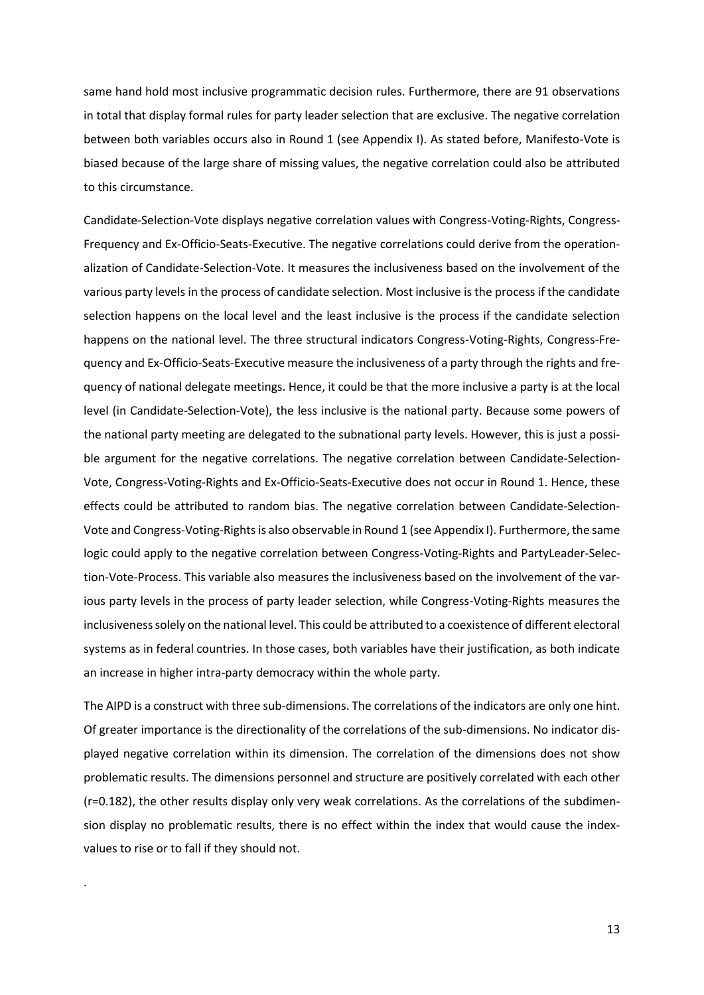same hand hold most inclusive programmatic decision rules. Furthermore, there are 91 observations in total that display formal rules for party leader selection that are exclusive. The negative correlation between both variables occurs also in Round 1 (see Appendix I). As stated before, Manifesto-Vote is biased because of the large share of missing values, the negative correlation could also be attributed to this circumstance.

Candidate-Selection-Vote displays negative correlation values with Congress-Voting-Rights, Congress-Frequency and Ex-Officio-Seats-Executive. The negative correlations could derive from the operationalization of Candidate-Selection-Vote. It measures the inclusiveness based on the involvement of the various party levels in the process of candidate selection. Most inclusive is the process if the candidate selection happens on the local level and the least inclusive is the process if the candidate selection happens on the national level. The three structural indicators Congress-Voting-Rights, Congress-Frequency and Ex-Officio-Seats-Executive measure the inclusiveness of a party through the rights and frequency of national delegate meetings. Hence, it could be that the more inclusive a party is at the local level (in Candidate-Selection-Vote), the less inclusive is the national party. Because some powers of the national party meeting are delegated to the subnational party levels. However, this is just a possible argument for the negative correlations. The negative correlation between Candidate-Selection-Vote, Congress-Voting-Rights and Ex-Officio-Seats-Executive does not occur in Round 1. Hence, these effects could be attributed to random bias. The negative correlation between Candidate-Selection-Vote and Congress-Voting-Rights is also observable in Round 1 (see Appendix I). Furthermore, the same logic could apply to the negative correlation between Congress-Voting-Rights and PartyLeader-Selection-Vote-Process. This variable also measures the inclusiveness based on the involvement of the various party levels in the process of party leader selection, while Congress-Voting-Rights measures the inclusiveness solely on the national level. This could be attributed to a coexistence of different electoral systems as in federal countries. In those cases, both variables have their justification, as both indicate an increase in higher intra-party democracy within the whole party.

The AIPD is a construct with three sub-dimensions. The correlations of the indicators are only one hint. Of greater importance is the directionality of the correlations of the sub-dimensions. No indicator displayed negative correlation within its dimension. The correlation of the dimensions does not show problematic results. The dimensions personnel and structure are positively correlated with each other (r=0.182), the other results display only very weak correlations. As the correlations of the subdimension display no problematic results, there is no effect within the index that would cause the indexvalues to rise or to fall if they should not.

.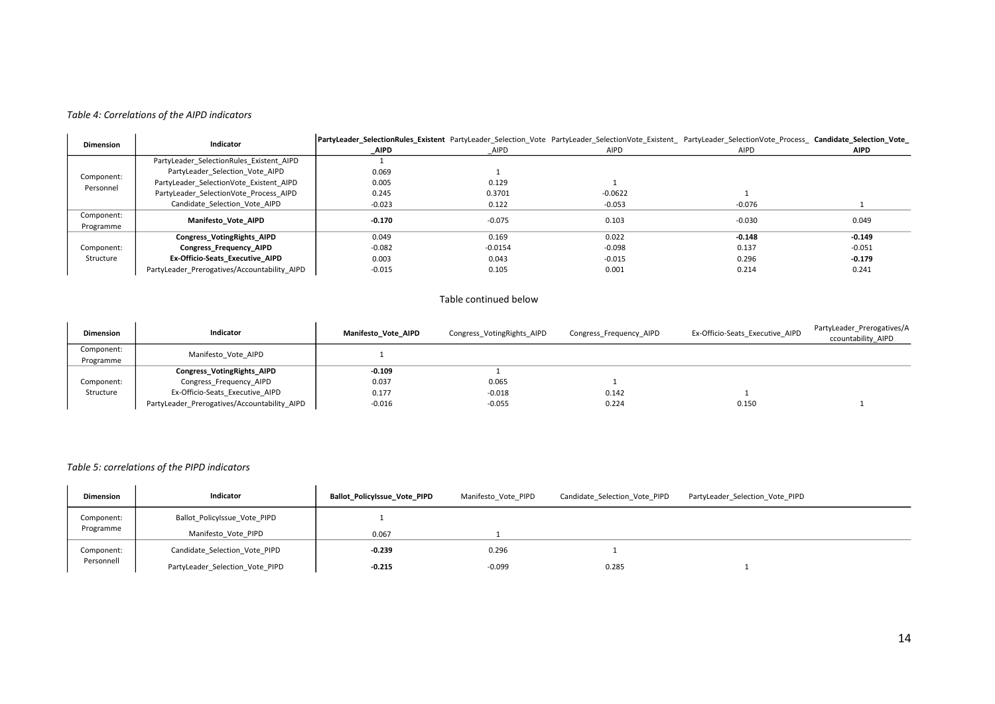#### *Table 4: Correlations of the AIPD indicators*

| Indicator<br><b>Dimension</b> |                                              | PartyLeader_SelectionRules_Existent PartyLeader Selection Vote PartyLeader SelectionVote Existent PartyLeader SelectionVote Process Candidate_Selection_Vote_ |           |           |          |          |
|-------------------------------|----------------------------------------------|---------------------------------------------------------------------------------------------------------------------------------------------------------------|-----------|-----------|----------|----------|
|                               |                                              | AIPD                                                                                                                                                          | AIPD      | AIPD      | AIPD     | AIPD     |
|                               | PartyLeader SelectionRules Existent AIPD     |                                                                                                                                                               |           |           |          |          |
| Component:                    | PartyLeader Selection Vote AIPD              | 0.069                                                                                                                                                         |           |           |          |          |
| Personnel                     | PartyLeader SelectionVote Existent AIPD      | 0.005                                                                                                                                                         | 0.129     |           |          |          |
|                               | PartyLeader SelectionVote Process AIPD       | 0.245                                                                                                                                                         | 0.3701    | $-0.0622$ |          |          |
|                               | Candidate Selection Vote AIPD                | $-0.023$                                                                                                                                                      | 0.122     | $-0.053$  | $-0.076$ |          |
| Component:                    | Manifesto Vote AIPD                          | $-0.170$                                                                                                                                                      | $-0.075$  | 0.103     | $-0.030$ | 0.049    |
| Programme                     |                                              |                                                                                                                                                               |           |           |          |          |
|                               | <b>Congress_VotingRights_AIPD</b>            | 0.049                                                                                                                                                         | 0.169     | 0.022     | $-0.148$ | $-0.149$ |
| Component:                    | <b>Congress Frequency AIPD</b>               | $-0.082$                                                                                                                                                      | $-0.0154$ | $-0.098$  | 0.137    | $-0.051$ |
| Structure                     | Ex-Officio-Seats Executive AIPD              | 0.003                                                                                                                                                         | 0.043     | $-0.015$  | 0.296    | $-0.179$ |
|                               | PartyLeader Prerogatives/Accountability AIPD | $-0.015$                                                                                                                                                      | 0.105     | 0.001     | 0.214    | 0.241    |

#### Table continued below

| <b>Dimension</b>        | Indicator                                    | Manifesto Vote AIPD | Congress VotingRights AIPD | Congress Frequency AIPD | Ex-Officio-Seats Executive AIPD | PartyLeader Prerogatives/A<br>ccountability AIPD |
|-------------------------|----------------------------------------------|---------------------|----------------------------|-------------------------|---------------------------------|--------------------------------------------------|
| Component:<br>Programme | Manifesto Vote AIPD                          |                     |                            |                         |                                 |                                                  |
|                         | <b>Congress_VotingRights_AIPD</b>            | $-0.109$            |                            |                         |                                 |                                                  |
| Component:              | Congress Frequency AIPD                      | 0.037               | 0.065                      |                         |                                 |                                                  |
| Structure               | Ex-Officio-Seats Executive AIPD              | 0.177               | $-0.018$                   | 0.142                   |                                 |                                                  |
|                         | PartyLeader_Prerogatives/Accountability AIPD | $-0.016$            | $-0.055$                   | 0.224                   | 0.150                           |                                                  |

#### <span id="page-14-0"></span>*Table 5: correlations of the PIPD indicators*

<span id="page-14-1"></span>

| <b>Dimension</b> | Indicator                       | Ballot_PolicyIssue_Vote_PIPD | Manifesto Vote PIPD | Candidate Selection Vote PIPD | PartyLeader_Selection_Vote_PIPD |
|------------------|---------------------------------|------------------------------|---------------------|-------------------------------|---------------------------------|
| Component:       | Ballot Policylssue Vote PIPD    |                              |                     |                               |                                 |
| Programme        | Manifesto Vote PIPD             | 0.067                        |                     |                               |                                 |
| Component:       | Candidate Selection Vote PIPD   | $-0.239$                     | 0.296               |                               |                                 |
| Personnell       | PartyLeader_Selection_Vote_PIPD | $-0.215$                     | $-0.099$            | 0.285                         |                                 |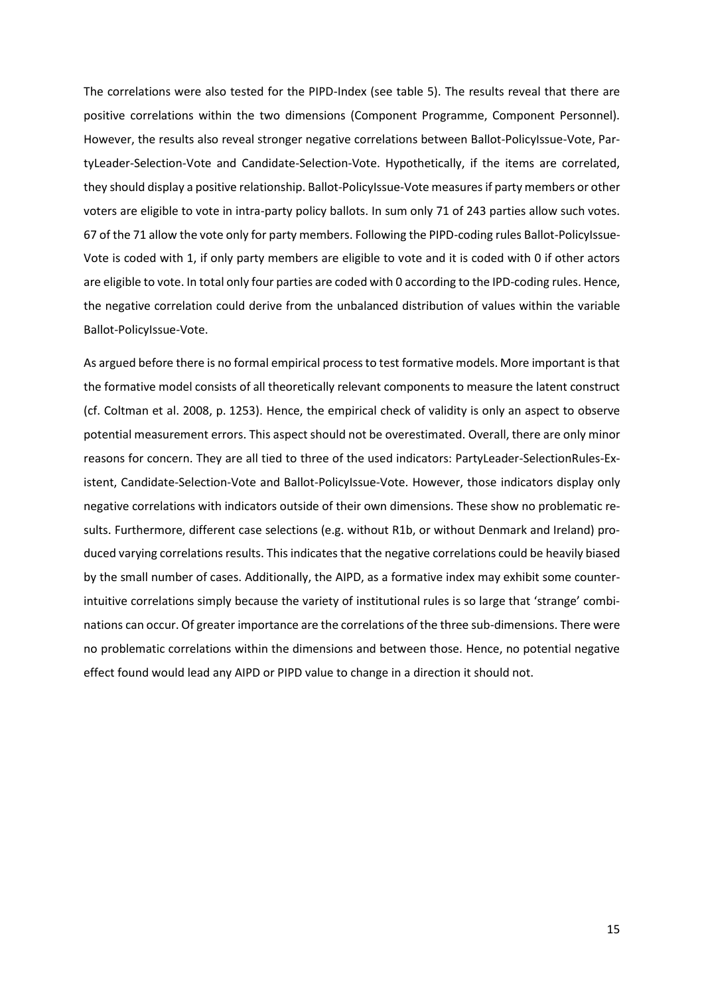The correlations were also tested for the PIPD-Index (see table 5). The results reveal that there are positive correlations within the two dimensions (Component Programme, Component Personnel). However, the results also reveal stronger negative correlations between Ballot-PolicyIssue-Vote, PartyLeader-Selection-Vote and Candidate-Selection-Vote. Hypothetically, if the items are correlated, they should display a positive relationship. Ballot-PolicyIssue-Vote measures if party members or other voters are eligible to vote in intra-party policy ballots. In sum only 71 of 243 parties allow such votes. 67 of the 71 allow the vote only for party members. Following the PIPD-coding rules Ballot-PolicyIssue-Vote is coded with 1, if only party members are eligible to vote and it is coded with 0 if other actors are eligible to vote. In total only four parties are coded with 0 according to the IPD-coding rules. Hence, the negative correlation could derive from the unbalanced distribution of values within the variable Ballot-PolicyIssue-Vote.

As argued before there is no formal empirical process to test formative models. More important is that the formative model consists of all theoretically relevant components to measure the latent construct (cf. Coltman et al. 2008, p. 1253). Hence, the empirical check of validity is only an aspect to observe potential measurement errors. This aspect should not be overestimated. Overall, there are only minor reasons for concern. They are all tied to three of the used indicators: PartyLeader-SelectionRules-Existent, Candidate-Selection-Vote and Ballot-PolicyIssue-Vote. However, those indicators display only negative correlations with indicators outside of their own dimensions. These show no problematic results. Furthermore, different case selections (e.g. without R1b, or without Denmark and Ireland) produced varying correlations results. This indicates that the negative correlations could be heavily biased by the small number of cases. Additionally, the AIPD, as a formative index may exhibit some counterintuitive correlations simply because the variety of institutional rules is so large that 'strange' combinations can occur. Of greater importance are the correlations of the three sub-dimensions. There were no problematic correlations within the dimensions and between those. Hence, no potential negative effect found would lead any AIPD or PIPD value to change in a direction it should not.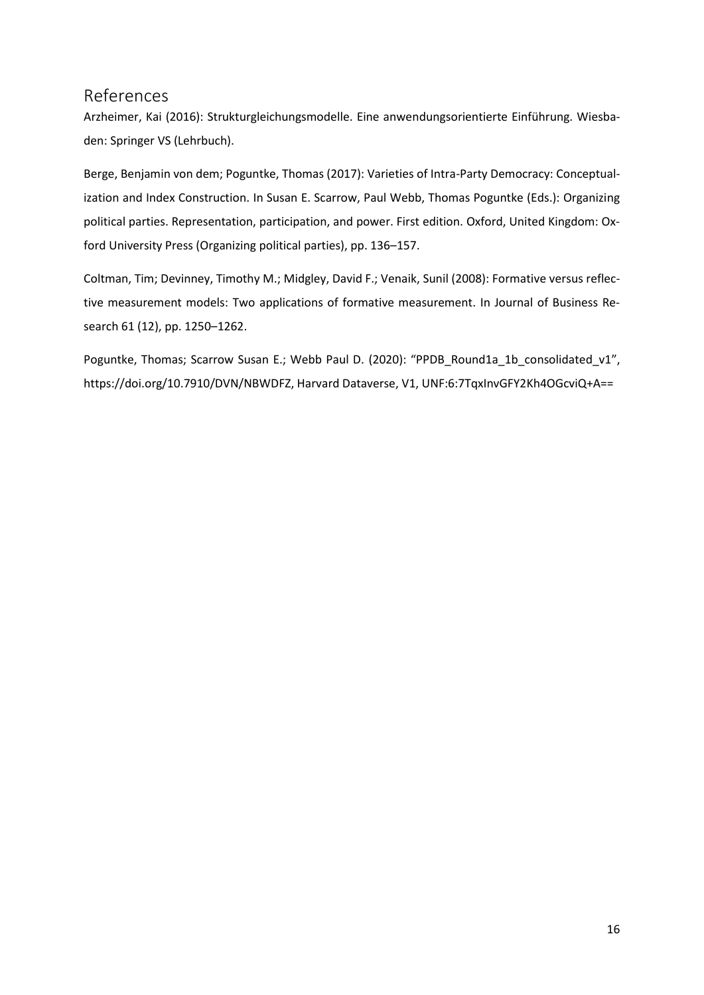## <span id="page-16-0"></span>References

Arzheimer, Kai (2016): Strukturgleichungsmodelle. Eine anwendungsorientierte Einführung. Wiesbaden: Springer VS (Lehrbuch).

Berge, Benjamin von dem; Poguntke, Thomas (2017): Varieties of Intra-Party Democracy: Conceptualization and Index Construction. In Susan E. Scarrow, Paul Webb, Thomas Poguntke (Eds.): Organizing political parties. Representation, participation, and power. First edition. Oxford, United Kingdom: Oxford University Press (Organizing political parties), pp. 136–157.

Coltman, Tim; Devinney, Timothy M.; Midgley, David F.; Venaik, Sunil (2008): Formative versus reflective measurement models: Two applications of formative measurement. In Journal of Business Research 61 (12), pp. 1250–1262.

Poguntke, Thomas; Scarrow Susan E.; Webb Paul D. (2020): "PPDB\_Round1a\_1b\_consolidated\_v1", https://doi.org/10.7910/DVN/NBWDFZ, Harvard Dataverse, V1, UNF:6:7TqxInvGFY2Kh4OGcviQ+A==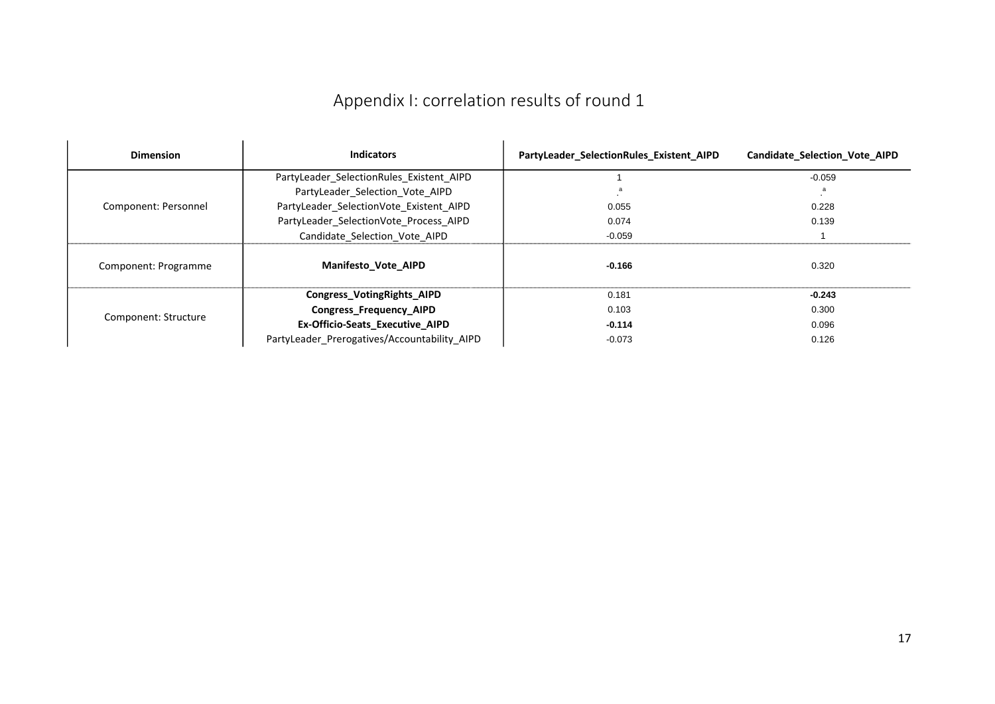# Appendix I: correlation results of round 1

<span id="page-17-0"></span>

| <b>Dimension</b>     | <b>Indicators</b>                            | PartyLeader_SelectionRules_Existent_AIPD | <b>Candidate Selection Vote AIPD</b> |
|----------------------|----------------------------------------------|------------------------------------------|--------------------------------------|
|                      | PartyLeader SelectionRules Existent AIPD     |                                          | $-0.059$                             |
|                      | PartyLeader Selection Vote AIPD              |                                          |                                      |
| Component: Personnel | PartyLeader SelectionVote Existent AIPD      | 0.055                                    | 0.228                                |
|                      | PartyLeader SelectionVote Process AIPD       | 0.074                                    | 0.139                                |
|                      | Candidate Selection Vote AIPD                | $-0.059$                                 |                                      |
| Component: Programme | <b>Manifesto Vote AIPD</b>                   | $-0.166$                                 | 0.320                                |
|                      | Congress_VotingRights_AIPD                   | 0.181                                    | $-0.243$                             |
| Component: Structure | <b>Congress Frequency AIPD</b>               | 0.103                                    | 0.300                                |
|                      | Ex-Officio-Seats_Executive_AIPD              | $-0.114$                                 | 0.096                                |
|                      | PartyLeader Prerogatives/Accountability AIPD | $-0.073$                                 | 0.126                                |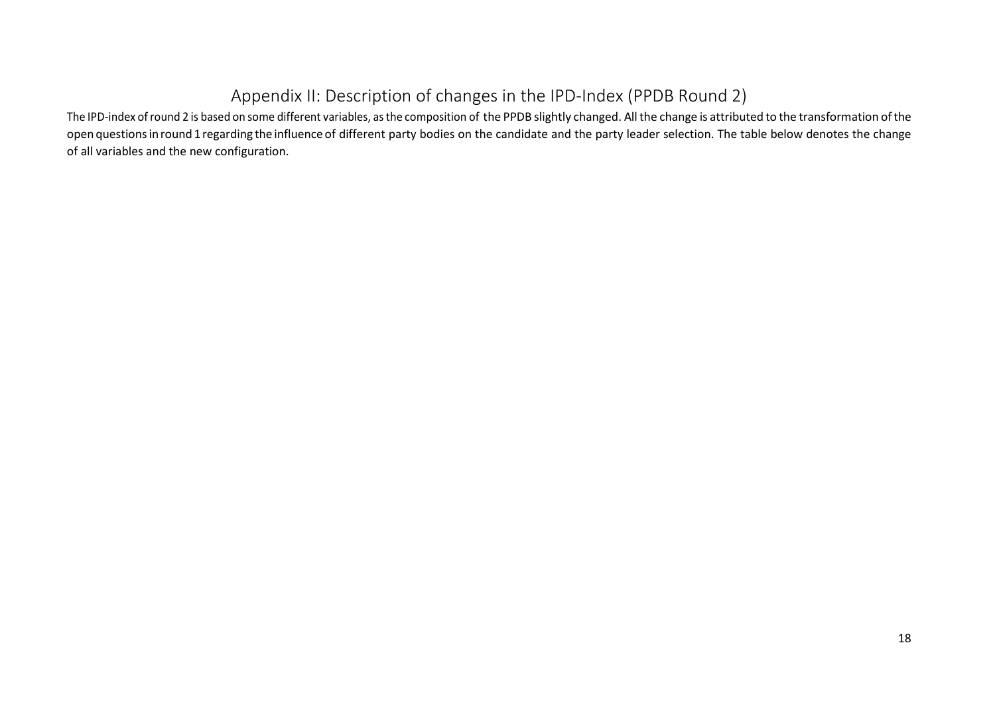# Appendix II: Description of changes in the IPD-Index (PPDB Round 2)

<span id="page-18-0"></span>The IPD-index of round 2 is based on some different variables, as the composition of the PPDB slightly changed. All the change is attributed to the transformation of the open questionsinround1 regarding the influence of different party bodies on the candidate and the party leader selection. The table below denotes the change of all variables and the new configuration.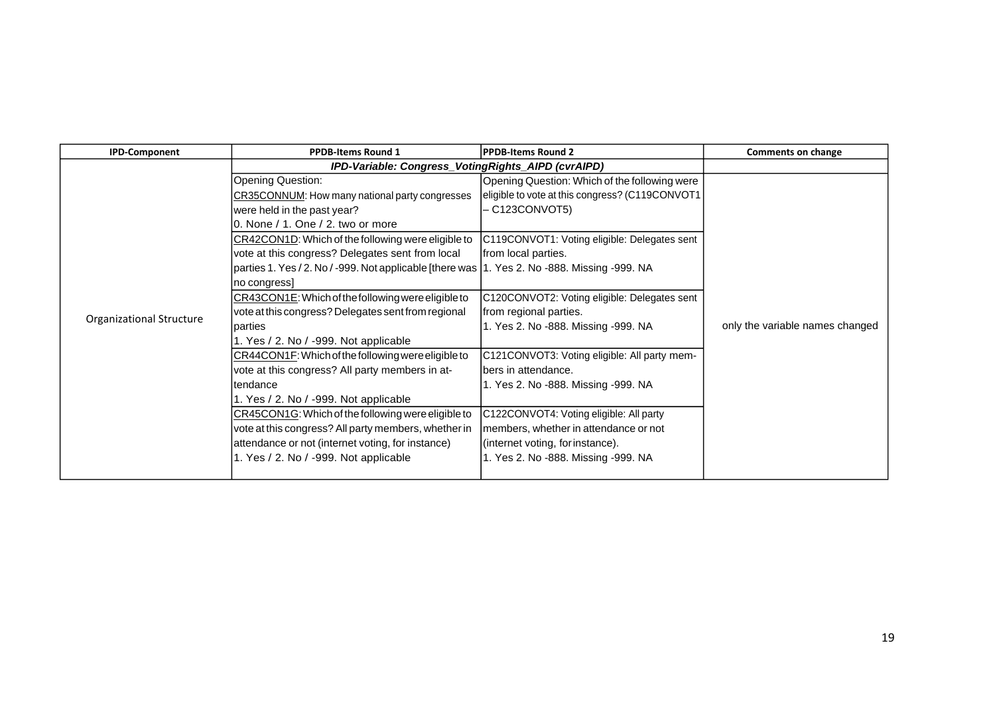| <b>IPD-Component</b>     | <b>PPDB-Items Round 1</b>                                                                      | <b>PPDB-Items Round 2</b>                       | <b>Comments on change</b>       |
|--------------------------|------------------------------------------------------------------------------------------------|-------------------------------------------------|---------------------------------|
|                          | IPD-Variable: Congress_VotingRights_AIPD (cvrAIPD)                                             |                                                 |                                 |
|                          | <b>Opening Question:</b>                                                                       | Opening Question: Which of the following were   |                                 |
|                          | CR35CONNUM: How many national party congresses                                                 | eligible to vote at this congress? (C119CONVOT1 |                                 |
|                          | were held in the past year?                                                                    | - C123CONVOT5)                                  |                                 |
|                          | 0. None / 1. One / 2. two or more                                                              |                                                 |                                 |
|                          | CR42CON1D: Which of the following were eligible to                                             | C119CONVOT1: Voting eligible: Delegates sent    |                                 |
|                          | vote at this congress? Delegates sent from local                                               | from local parties.                             |                                 |
|                          | parties 1. Yes / 2. No / -999. Not applicable [there was   1. Yes 2. No -888. Missing -999. NA |                                                 |                                 |
|                          | no congress]                                                                                   |                                                 |                                 |
|                          | CR43CON1E: Which of the following were eligible to                                             | C120CONVOT2: Voting eligible: Delegates sent    |                                 |
| Organizational Structure | vote at this congress? Delegates sent from regional                                            | from regional parties.                          |                                 |
|                          | parties                                                                                        | 1. Yes 2. No -888. Missing -999. NA             | only the variable names changed |
|                          | 1. Yes / 2. No / -999. Not applicable                                                          |                                                 |                                 |
|                          | CR44CON1F: Which of the following were eligible to                                             | C121CONVOT3: Voting eligible: All party mem-    |                                 |
|                          | vote at this congress? All party members in at-                                                | lbers in attendance.                            |                                 |
|                          | Itendance                                                                                      | 1. Yes 2. No -888. Missing -999. NA             |                                 |
|                          | 1. Yes / 2. No / -999. Not applicable                                                          |                                                 |                                 |
|                          | CR45CON1G: Which of the following were eligible to                                             | C122CONVOT4: Voting eligible: All party         |                                 |
|                          | vote at this congress? All party members, whether in                                           | members, whether in attendance or not           |                                 |
|                          | attendance or not (internet voting, for instance)                                              | (internet voting, for instance).                |                                 |
|                          | 1. Yes / 2. No / -999. Not applicable                                                          | 1. Yes 2. No -888. Missing -999. NA             |                                 |
|                          |                                                                                                |                                                 |                                 |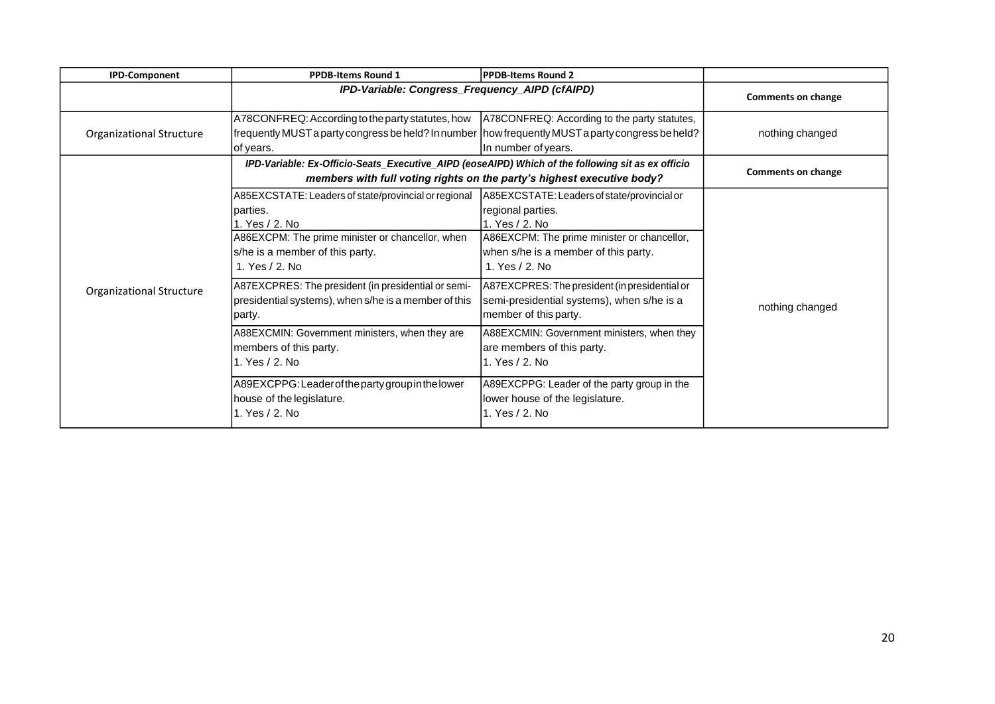| <b>IPD-Component</b>     | <b>PPDB-Items Round 1</b>                                                                                                                                                                     | PPDB-Items Round 2                                                                                                                                                                            |                           |
|--------------------------|-----------------------------------------------------------------------------------------------------------------------------------------------------------------------------------------------|-----------------------------------------------------------------------------------------------------------------------------------------------------------------------------------------------|---------------------------|
|                          | IPD-Variable: Congress_Frequency_AIPD (cfAIPD)                                                                                                                                                |                                                                                                                                                                                               | <b>Comments on change</b> |
| Organizational Structure | A78CONFREQ: According to the party statutes, how<br>frequently MUST a party congress be held? In number   how frequently MUST a party congress be held?<br>of years.                          | A78CONFREQ: According to the party statutes,<br>In number of years.                                                                                                                           | nothing changed           |
|                          | IPD-Variable: Ex-Officio-Seats_Executive_AIPD (eoseAIPD) Which of the following sit as ex officio                                                                                             | members with full voting rights on the party's highest executive body?                                                                                                                        | <b>Comments on change</b> |
|                          | A85EXCSTATE: Leaders of state/provincial or regional<br>lparties.<br>1. Yes / 2. No<br>A86EXCPM: The prime minister or chancellor, when<br>s/he is a member of this party.<br>1. Yes / 2. No. | A85EXCSTATE: Leaders of state/provincial or<br>regional parties.<br>1. Yes / 2. No.<br>A86EXCPM: The prime minister or chancellor,<br>when s/he is a member of this party.<br>1. Yes / 2. No. |                           |
| Organizational Structure | A87EXCPRES: The president (in presidential or semi-<br>presidential systems), when s/he is a member of this<br>party.                                                                         | A87EXCPRES: The president (in presidential or<br>semi-presidential systems), when s/he is a<br>member of this party.                                                                          | nothing changed           |
|                          | A88EXCMIN: Government ministers, when they are<br>members of this party.<br>1. Yes / 2. No                                                                                                    | A88EXCMIN: Government ministers, when they<br>are members of this party.<br>1. Yes / 2. No                                                                                                    |                           |
|                          | A89EXCPPG: Leader of the party group in the lower<br>house of the legislature.<br>1. Yes / 2. No                                                                                              | A89EXCPPG: Leader of the party group in the<br>lower house of the legislature.<br>1. Yes / 2. No                                                                                              |                           |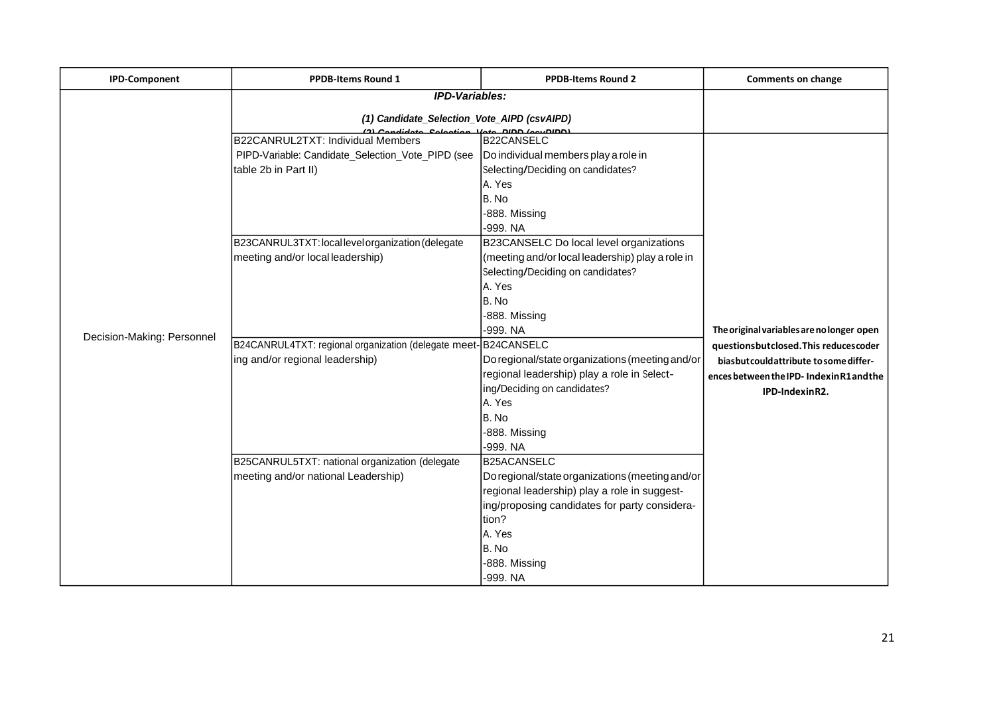| <b>IPD-Component</b>       | PPDB-Items Round 1                                                                                             | <b>PPDB-Items Round 2</b>                                                                                                                                                                                                        | <b>Comments on change</b>                                                                                                                                                                    |
|----------------------------|----------------------------------------------------------------------------------------------------------------|----------------------------------------------------------------------------------------------------------------------------------------------------------------------------------------------------------------------------------|----------------------------------------------------------------------------------------------------------------------------------------------------------------------------------------------|
|                            | <b>IPD-Variables:</b>                                                                                          |                                                                                                                                                                                                                                  |                                                                                                                                                                                              |
|                            | (1) Candidate_Selection_Vote_AIPD (csvAIPD)                                                                    |                                                                                                                                                                                                                                  |                                                                                                                                                                                              |
|                            | B22CANRUL2TXT: Individual Members<br>PIPD-Variable: Candidate_Selection_Vote_PIPD (see<br>table 2b in Part II) | <b>B22CANSELC</b><br>Do individual members play a role in<br>Selecting/Deciding on candidates?<br>A. Yes<br>B. No<br>-888. Missing                                                                                               |                                                                                                                                                                                              |
|                            | B23CANRUL3TXT: local level organization (delegate<br>meeting and/or local leadership)                          | -999. NA<br>B23CANSELC Do local level organizations<br>(meeting and/or local leadership) play a role in<br>Selecting/Deciding on candidates?<br>A. Yes<br>B. No<br>-888. Missing                                                 |                                                                                                                                                                                              |
| Decision-Making: Personnel | B24CANRUL4TXT: regional organization (delegate meet-B24CANSELC<br>ing and/or regional leadership)              | -999. NA<br>Do regional/state organizations (meeting and/or<br>regional leadership) play a role in Select-<br>ing/Deciding on candidates?<br>A. Yes<br>B. No<br>-888. Missing<br>-999. NA                                        | The original variables are no longer open<br>questionsbutclosed. This reducescoder<br>biasbut could attribute to some differ-<br>ences between the IPD- Indexin R1 and the<br>IPD-IndexinR2. |
|                            | B25CANRUL5TXT: national organization (delegate<br>meeting and/or national Leadership)                          | <b>B25ACANSELC</b><br>Do regional/state organizations (meeting and/or<br>regional leadership) play a role in suggest-<br>ing/proposing candidates for party considera-<br>tion?<br>A. Yes<br>IB. No<br>-888. Missing<br>-999. NA |                                                                                                                                                                                              |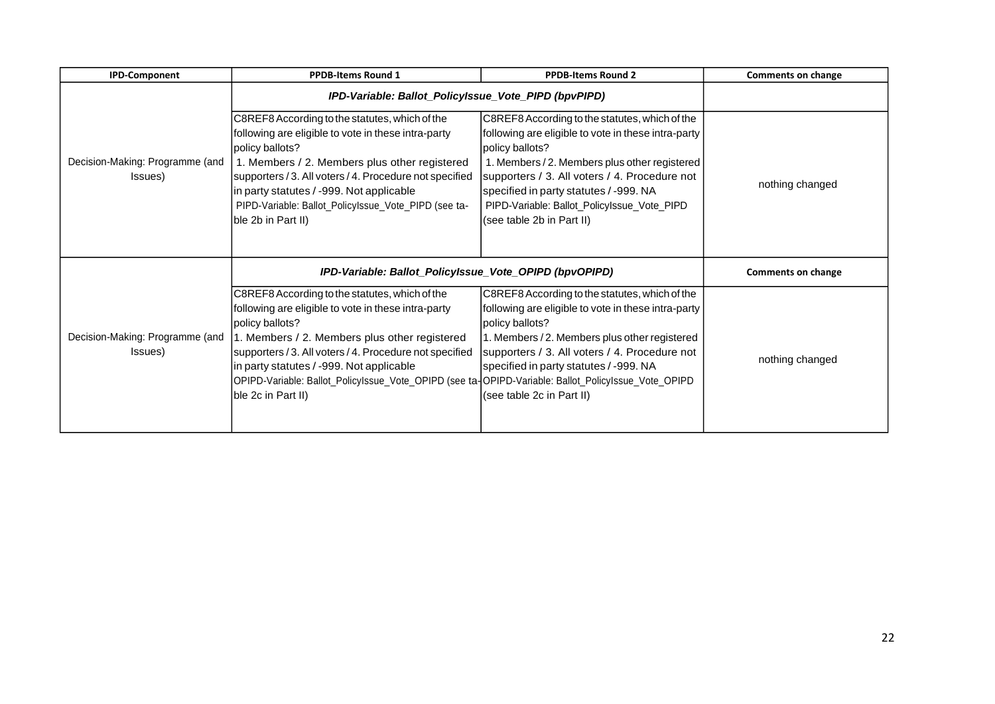| <b>IPD-Component</b>                       | <b>PPDB-Items Round 1</b>                                                                                                                                                                                                                                                                                                                                                                                     | <b>PPDB-Items Round 2</b>                                                                                                                                                                                                                                                                                                                        | <b>Comments on change</b> |
|--------------------------------------------|---------------------------------------------------------------------------------------------------------------------------------------------------------------------------------------------------------------------------------------------------------------------------------------------------------------------------------------------------------------------------------------------------------------|--------------------------------------------------------------------------------------------------------------------------------------------------------------------------------------------------------------------------------------------------------------------------------------------------------------------------------------------------|---------------------------|
|                                            | IPD-Variable: Ballot_PolicyIssue_Vote_PIPD (bpvPIPD)                                                                                                                                                                                                                                                                                                                                                          |                                                                                                                                                                                                                                                                                                                                                  |                           |
| Decision-Making: Programme (and<br>Issues) | C8REF8 According to the statutes, which of the<br>following are eligible to vote in these intra-party<br>policy ballots?<br>1. Members / 2. Members plus other registered<br>supporters / 3. All voters / 4. Procedure not specified<br>in party statutes / -999. Not applicable<br>PIPD-Variable: Ballot_PolicyIssue_Vote_PIPD (see ta-<br>ble 2b in Part II)                                                | C8REF8 According to the statutes, which of the<br>following are eligible to vote in these intra-party<br>policy ballots?<br>1. Members / 2. Members plus other registered<br>supporters / 3. All voters / 4. Procedure not<br>specified in party statutes / -999. NA<br>PIPD-Variable: Ballot_PolicyIssue_Vote_PIPD<br>(see table 2b in Part II) | nothing changed           |
|                                            | IPD-Variable: Ballot_PolicyIssue_Vote_OPIPD (bpvOPIPD)                                                                                                                                                                                                                                                                                                                                                        |                                                                                                                                                                                                                                                                                                                                                  | <b>Comments on change</b> |
| Decision-Making: Programme (and<br>Issues) | C8REF8 According to the statutes, which of the<br>following are eligible to vote in these intra-party<br>policy ballots?<br>1. Members / 2. Members plus other registered<br>supporters / 3. All voters / 4. Procedure not specified<br>in party statutes / -999. Not applicable<br>OPIPD-Variable: Ballot_PolicyIssue_Vote_OPIPD (see ta-OPIPD-Variable: Ballot_PolicyIssue_Vote_OPIPD<br>ble 2c in Part II) | C8REF8 According to the statutes, which of the<br>following are eligible to vote in these intra-party<br>policy ballots?<br>1. Members / 2. Members plus other registered<br>supporters / 3. All voters / 4. Procedure not<br>specified in party statutes / -999. NA<br>(see table 2c in Part II)                                                | nothing changed           |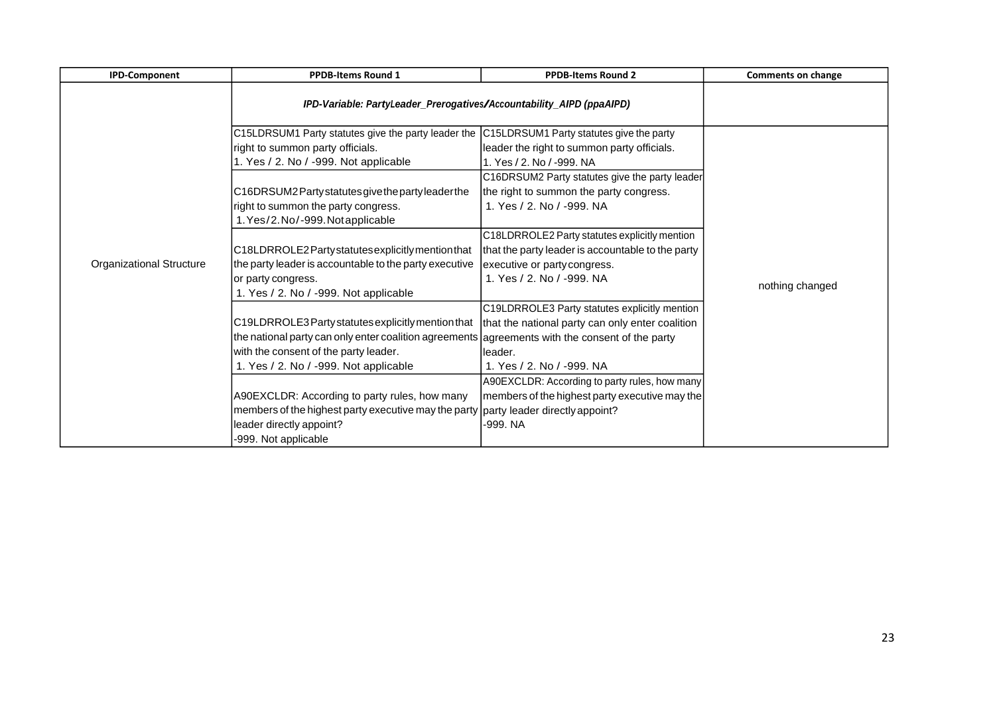| <b>IPD-Component</b>            | <b>PPDB-Items Round 1</b>                                                                                                                                                                                                                                                                 | <b>PPDB-Items Round 2</b>                                                                                                                                                                           | <b>Comments on change</b> |
|---------------------------------|-------------------------------------------------------------------------------------------------------------------------------------------------------------------------------------------------------------------------------------------------------------------------------------------|-----------------------------------------------------------------------------------------------------------------------------------------------------------------------------------------------------|---------------------------|
|                                 | IPD-Variable: PartyLeader_Prerogatives/Accountability_AIPD (ppaAIPD)                                                                                                                                                                                                                      |                                                                                                                                                                                                     |                           |
|                                 | C15LDRSUM1 Party statutes give the party leader the C15LDRSUM1 Party statutes give the party<br>right to summon party officials.<br>1. Yes / 2. No / -999. Not applicable<br>C16DRSUM2Partystatutesgivethepartyleaderthe<br>right to summon the party congress.                           | leader the right to summon party officials.<br>l1. Yes / 2. No / -999. NA<br>C16DRSUM2 Party statutes give the party leader<br>the right to summon the party congress.<br>1. Yes / 2. No / -999. NA |                           |
|                                 | 1. Yes/2. No/-999. Not applicable<br>C18LDRROLE2Party statutes explicitly mention that                                                                                                                                                                                                    | C18LDRROLE2 Party statutes explicitly mention<br>that the party leader is accountable to the party                                                                                                  |                           |
| <b>Organizational Structure</b> | the party leader is accountable to the party executive<br>or party congress.<br>1. Yes / 2. No / -999. Not applicable                                                                                                                                                                     | executive or party congress.<br>1. Yes / 2. No / -999. NA                                                                                                                                           | nothing changed           |
|                                 | C19LDRROLE3 Party statutes explicitly mention that  that the national party can only enter coalition<br>the national party can only enter coalition agreements agreements with the consent of the party<br>with the consent of the party leader.<br>1. Yes / 2. No / -999. Not applicable | C19LDRROLE3 Party statutes explicitly mention<br>lleader.<br>1. Yes / 2. No / -999. NA                                                                                                              |                           |
|                                 | A90EXCLDR: According to party rules, how many<br>members of the highest party executive may the party   party leader directly appoint?<br>leader directly appoint?<br>-999. Not applicable                                                                                                | A90EXCLDR: According to party rules, how many<br> members of the highest party executive may the<br>-999. NA                                                                                        |                           |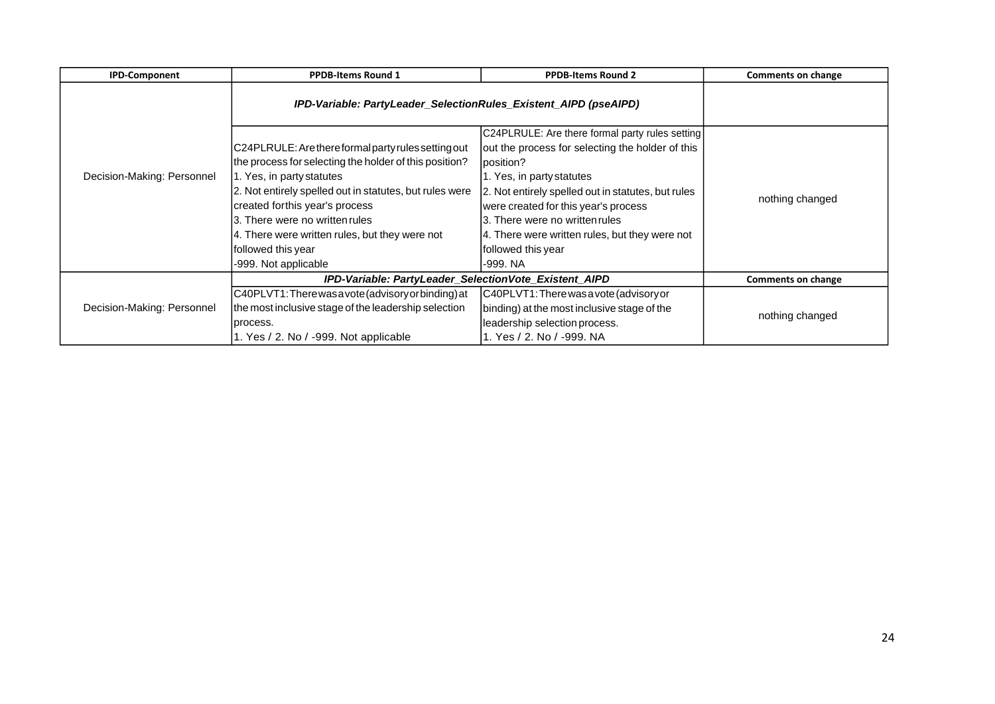| <b>IPD-Component</b>       | <b>PPDB-Items Round 1</b>                                                                                                                                                                                                                                                                                                                                                 | <b>PPDB-Items Round 2</b>                                                                                                                                                                                                                                                                                                                                         | Comments on change        |
|----------------------------|---------------------------------------------------------------------------------------------------------------------------------------------------------------------------------------------------------------------------------------------------------------------------------------------------------------------------------------------------------------------------|-------------------------------------------------------------------------------------------------------------------------------------------------------------------------------------------------------------------------------------------------------------------------------------------------------------------------------------------------------------------|---------------------------|
|                            | IPD-Variable: PartyLeader_SelectionRules_Existent_AIPD (pseAIPD)                                                                                                                                                                                                                                                                                                          |                                                                                                                                                                                                                                                                                                                                                                   |                           |
| Decision-Making: Personnel | C24PLRULE: Are there formal party rules setting out<br>the process for selecting the holder of this position?<br>1. Yes, in party statutes<br>2. Not entirely spelled out in statutes, but rules were<br>created forthis year's process<br>3. There were no written rules<br>4. There were written rules, but they were not<br>followed this year<br>-999. Not applicable | C24PLRULE: Are there formal party rules setting<br>out the process for selecting the holder of this<br>position?<br>1. Yes, in party statutes<br>2. Not entirely spelled out in statutes, but rules<br>were created for this year's process<br>3. There were no written rules<br>4. There were written rules, but they were not<br>followed this year<br>-999. NA | nothing changed           |
|                            | IPD-Variable: PartyLeader_SelectionVote_Existent_AIPD                                                                                                                                                                                                                                                                                                                     |                                                                                                                                                                                                                                                                                                                                                                   | <b>Comments on change</b> |
| Decision-Making: Personnel | C40PLVT1: There was a vote (advisory or binding) at<br>the most inclusive stage of the leadership selection<br>process.<br>1. Yes / 2. No / -999. Not applicable                                                                                                                                                                                                          | C40PLVT1: There was a vote (advisory or<br>binding) at the most inclusive stage of the<br>leadership selection process.<br>1. Yes / 2. No / -999. NA                                                                                                                                                                                                              | nothing changed           |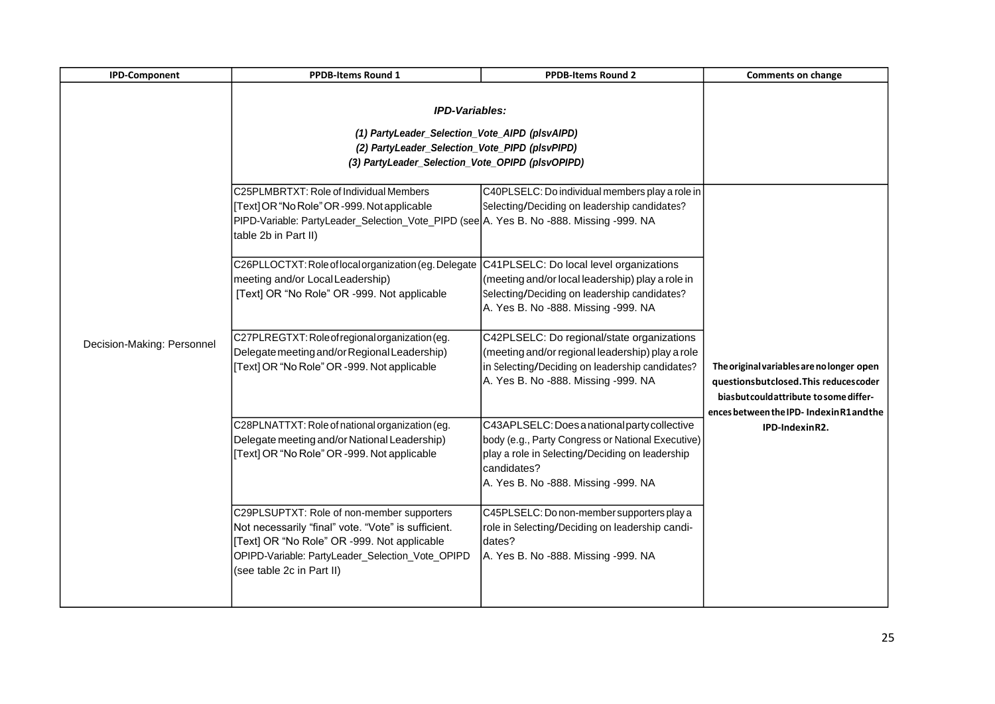| <b>IPD-Component</b>       | <b>PPDB-Items Round 1</b>                                                                                                                                                                                                         | <b>PPDB-Items Round 2</b>                                                                                                                                                                                  | <b>Comments on change</b>                                                                                                                                                                   |
|----------------------------|-----------------------------------------------------------------------------------------------------------------------------------------------------------------------------------------------------------------------------------|------------------------------------------------------------------------------------------------------------------------------------------------------------------------------------------------------------|---------------------------------------------------------------------------------------------------------------------------------------------------------------------------------------------|
|                            | <b>IPD-Variables:</b><br>(1) PartyLeader_Selection_Vote_AIPD (plsvAIPD)<br>(2) PartyLeader_Selection_Vote_PIPD (plsvPIPD)<br>(3) PartyLeader_Selection_Vote_OPIPD (plsvOPIPD)                                                     |                                                                                                                                                                                                            |                                                                                                                                                                                             |
|                            | C25PLMBRTXT: Role of Individual Members<br>[Text] OR "No Role" OR -999. Not applicable<br>PIPD-Variable: PartyLeader_Selection_Vote_PIPD (see A. Yes B. No -888. Missing -999. NA<br>table 2b in Part II)                         | C40PLSELC: Do individual members play a role in<br>Selecting/Deciding on leadership candidates?                                                                                                            |                                                                                                                                                                                             |
|                            | C26PLLOCTXT: Role of local organization (eg. Delegate C41PLSELC: Do local level organizations<br>meeting and/or Local Leadership)<br>[Text] OR "No Role" OR -999. Not applicable                                                  | (meeting and/or local leadership) play a role in<br>Selecting/Deciding on leadership candidates?<br>A. Yes B. No -888. Missing -999. NA                                                                    |                                                                                                                                                                                             |
| Decision-Making: Personnel | C27PLREGTXT: Role of regional organization (eg.<br>Delegate meeting and/or Regional Leadership)<br>[Text] OR "No Role" OR -999. Not applicable                                                                                    | C42PLSELC: Do regional/state organizations<br>(meeting and/or regional leadership) play a role<br>in Selecting/Deciding on leadership candidates?<br>A. Yes B. No -888. Missing -999. NA                   | The original variables are no longer open<br>questionsbutclosed. This reducescoder<br>bias but could at tribute to some differ-<br>ences between the IPD-IndexinR1and the<br>IPD-IndexinR2. |
|                            | C28PLNATTXT: Role of national organization (eg.<br>Delegate meeting and/or National Leadership)<br>[Text] OR "No Role" OR -999. Not applicable                                                                                    | C43APLSELC: Does a national party collective<br>body (e.g., Party Congress or National Executive)<br>play a role in Selecting/Deciding on leadership<br>candidates?<br>A. Yes B. No -888. Missing -999. NA |                                                                                                                                                                                             |
|                            | C29PLSUPTXT: Role of non-member supporters<br>Not necessarily "final" vote. "Vote" is sufficient.<br>[Text] OR "No Role" OR -999. Not applicable<br>OPIPD-Variable: PartyLeader_Selection_Vote_OPIPD<br>(see table 2c in Part II) | C45PLSELC: Do non-member supporters play a<br>role in Selecting/Deciding on leadership candi-<br>dates?<br>A. Yes B. No -888. Missing -999. NA                                                             |                                                                                                                                                                                             |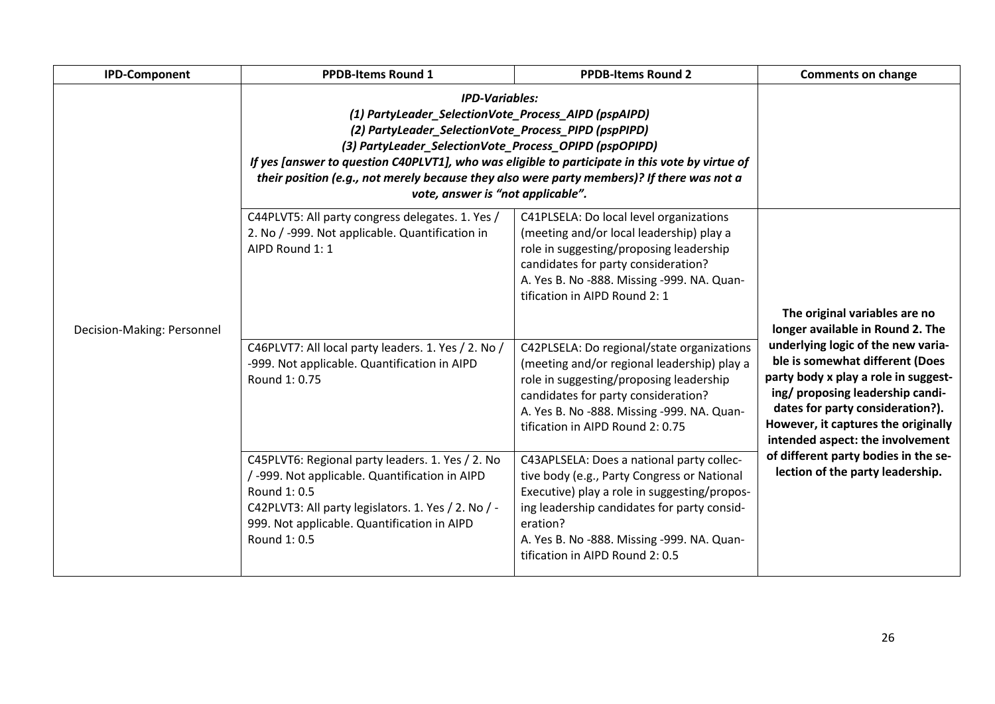| <b>IPD-Component</b>       | <b>PPDB-Items Round 1</b>                                                                                                                                                                                                                                                                                                                                                                                                             | <b>PPDB-Items Round 2</b>                                                                                                                                                                                                                                                            | <b>Comments on change</b>                                                                                                                                                                                                                                        |
|----------------------------|---------------------------------------------------------------------------------------------------------------------------------------------------------------------------------------------------------------------------------------------------------------------------------------------------------------------------------------------------------------------------------------------------------------------------------------|--------------------------------------------------------------------------------------------------------------------------------------------------------------------------------------------------------------------------------------------------------------------------------------|------------------------------------------------------------------------------------------------------------------------------------------------------------------------------------------------------------------------------------------------------------------|
| Decision-Making: Personnel | <b>IPD-Variables:</b><br>(1) PartyLeader_SelectionVote_Process_AIPD (pspAIPD)<br>(2) PartyLeader_SelectionVote_Process_PIPD (pspPIPD)<br>(3) PartyLeader_SelectionVote_Process_OPIPD (pspOPIPD)<br>If yes [answer to question C40PLVT1], who was eligible to participate in this vote by virtue of<br>their position (e.g., not merely because they also were party members)? If there was not a<br>vote, answer is "not applicable". |                                                                                                                                                                                                                                                                                      |                                                                                                                                                                                                                                                                  |
|                            | C44PLVT5: All party congress delegates. 1. Yes /<br>2. No / -999. Not applicable. Quantification in<br>AIPD Round 1: 1                                                                                                                                                                                                                                                                                                                | C41PLSELA: Do local level organizations<br>(meeting and/or local leadership) play a<br>role in suggesting/proposing leadership<br>candidates for party consideration?<br>A. Yes B. No -888. Missing -999. NA. Quan-<br>tification in AIPD Round 2: 1                                 | The original variables are no<br>longer available in Round 2. The                                                                                                                                                                                                |
|                            | C46PLVT7: All local party leaders. 1. Yes / 2. No /<br>-999. Not applicable. Quantification in AIPD<br>Round 1: 0.75                                                                                                                                                                                                                                                                                                                  | C42PLSELA: Do regional/state organizations<br>(meeting and/or regional leadership) play a<br>role in suggesting/proposing leadership<br>candidates for party consideration?<br>A. Yes B. No -888. Missing -999. NA. Quan-<br>tification in AIPD Round 2: 0.75                        | underlying logic of the new varia-<br>ble is somewhat different (Does<br>party body x play a role in suggest-<br>ing/ proposing leadership candi-<br>dates for party consideration?).<br>However, it captures the originally<br>intended aspect: the involvement |
|                            | C45PLVT6: Regional party leaders. 1. Yes / 2. No<br>-999. Not applicable. Quantification in AIPD<br>Round 1: 0.5<br>C42PLVT3: All party legislators. 1. Yes / 2. No / -<br>999. Not applicable. Quantification in AIPD<br>Round 1: 0.5                                                                                                                                                                                                | C43APLSELA: Does a national party collec-<br>tive body (e.g., Party Congress or National<br>Executive) play a role in suggesting/propos-<br>ing leadership candidates for party consid-<br>eration?<br>A. Yes B. No -888. Missing -999. NA. Quan-<br>tification in AIPD Round 2: 0.5 | of different party bodies in the se-<br>lection of the party leadership.                                                                                                                                                                                         |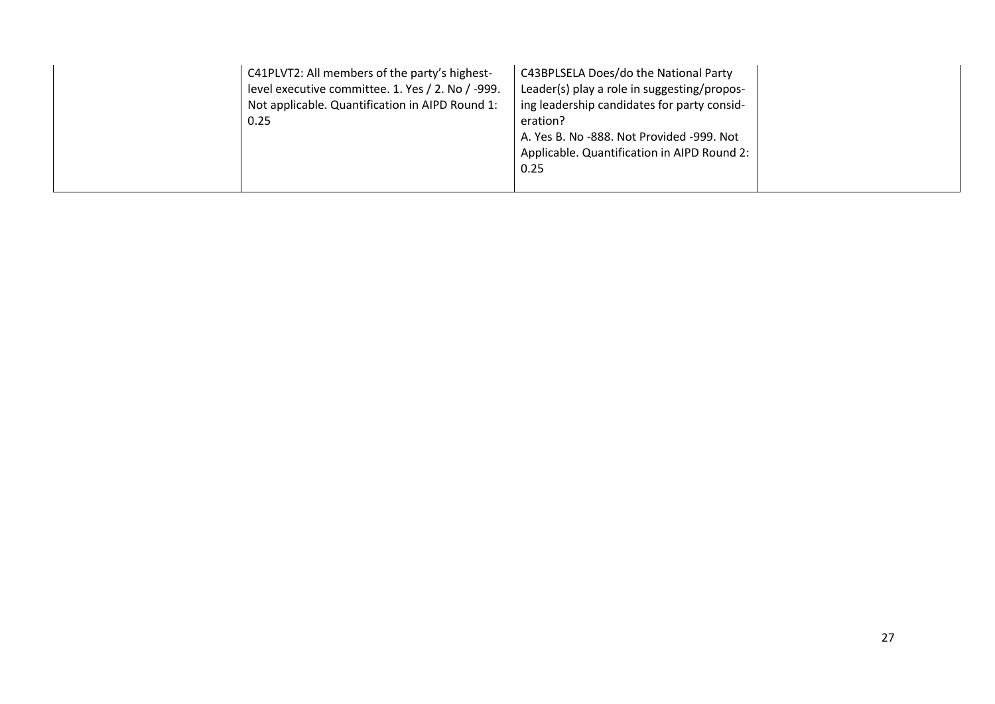| C41PLVT2: All members of the party's highest-<br>level executive committee. 1. Yes / 2. No / -999.<br>Not applicable. Quantification in AIPD Round 1:<br>0.25 | C43BPLSELA Does/do the National Party<br>Leader(s) play a role in suggesting/propos-<br>ing leadership candidates for party consid-<br>eration?<br>A. Yes B. No -888. Not Provided -999. Not<br>Applicable. Quantification in AIPD Round 2:<br>0.25 |
|---------------------------------------------------------------------------------------------------------------------------------------------------------------|-----------------------------------------------------------------------------------------------------------------------------------------------------------------------------------------------------------------------------------------------------|
|---------------------------------------------------------------------------------------------------------------------------------------------------------------|-----------------------------------------------------------------------------------------------------------------------------------------------------------------------------------------------------------------------------------------------------|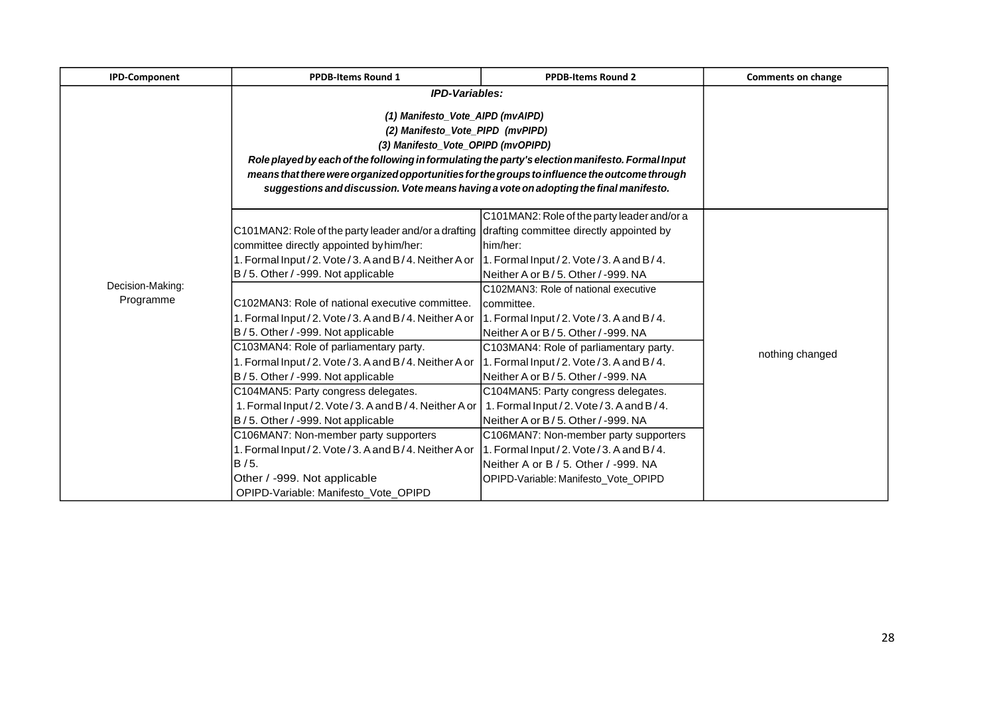| <b>IPD-Component</b> | <b>PPDB-Items Round 1</b>                                                                            | <b>PPDB-Items Round 2</b>                                            | <b>Comments on change</b> |
|----------------------|------------------------------------------------------------------------------------------------------|----------------------------------------------------------------------|---------------------------|
|                      | <b>IPD-Variables:</b>                                                                                |                                                                      |                           |
|                      |                                                                                                      |                                                                      |                           |
|                      |                                                                                                      | (1) Manifesto_Vote_AIPD (mvAIPD)<br>(2) Manifesto_Vote_PIPD (mvPIPD) |                           |
|                      | (3) Manifesto_Vote_OPIPD (mvOPIPD)                                                                   |                                                                      |                           |
|                      | Role played by each of the following in formulating the party's election manifesto. Formal Input     |                                                                      |                           |
|                      | means that there were organized opportunities for the groups to influence the outcome through        |                                                                      |                           |
|                      | suggestions and discussion. Vote means having a vote on adopting the final manifesto.                |                                                                      |                           |
|                      |                                                                                                      |                                                                      |                           |
|                      |                                                                                                      | C101MAN2: Role of the party leader and/or a                          |                           |
|                      | C101MAN2: Role of the party leader and/or a drafting drafting committee directly appointed by        |                                                                      |                           |
|                      | committee directly appointed by him/her:                                                             | him/her:                                                             |                           |
|                      | 1. Formal Input / 2. Vote / 3. A and B / 4. Neither A or 1. Formal Input / 2. Vote / 3. A and B / 4. |                                                                      |                           |
|                      | B / 5. Other / -999. Not applicable                                                                  | Neither A or B / 5. Other / -999. NA                                 |                           |
| Decision-Making:     |                                                                                                      | C102MAN3: Role of national executive                                 |                           |
| Programme            | C102MAN3: Role of national executive committee.                                                      | Icommittee.                                                          |                           |
|                      | 1. Formal Input / 2. Vote / 3. A and B / 4. Neither A or                                             | 1. Formal Input / 2. Vote / 3. A and B/4.                            |                           |
|                      | B / 5. Other / -999. Not applicable                                                                  | Neither A or B / 5. Other / -999. NA                                 |                           |
|                      | C103MAN4: Role of parliamentary party.                                                               | C103MAN4: Role of parliamentary party.                               | nothing changed           |
|                      | 1. Formal Input / 2. Vote / 3. A and B / 4. Neither A or 1. Formal Input / 2. Vote / 3. A and B / 4. |                                                                      |                           |
|                      | B / 5. Other / -999. Not applicable                                                                  | Neither A or B / 5. Other / -999. NA                                 |                           |
|                      | C104MAN5: Party congress delegates.                                                                  | C104MAN5: Party congress delegates.                                  |                           |
|                      | 1. Formal Input / 2. Vote / 3. A and B / 4. Neither A or                                             | 1. Formal Input / 2. Vote / 3. A and B / 4.                          |                           |
|                      | B / 5. Other / -999. Not applicable                                                                  | Neither A or B / 5. Other / -999. NA                                 |                           |
|                      | C106MAN7: Non-member party supporters                                                                | C106MAN7: Non-member party supporters                                |                           |
|                      | 1. Formal Input / 2. Vote / 3. A and B / 4. Neither A or                                             | 1. Formal Input / 2. Vote / 3. A and B / 4.                          |                           |
|                      | B / 5.                                                                                               | Neither A or B / 5. Other / -999. NA                                 |                           |
|                      | Other / -999. Not applicable                                                                         | OPIPD-Variable: Manifesto Vote OPIPD                                 |                           |
|                      | OPIPD-Variable: Manifesto Vote OPIPD                                                                 |                                                                      |                           |